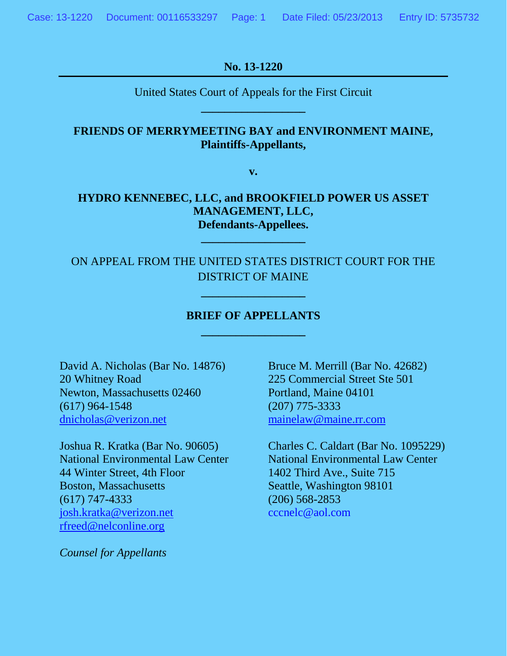**No. 13-1220**

United States Court of Appeals for the First Circuit **\_\_\_\_\_\_\_\_\_\_\_\_\_\_\_\_\_\_**

## **FRIENDS OF MERRYMEETING BAY and ENVIRONMENT MAINE, Plaintiffs-Appellants,**

**v.**

## **HYDRO KENNEBEC, LLC, and BROOKFIELD POWER US ASSET MANAGEMENT, LLC, Defendants-Appellees.**

**\_\_\_\_\_\_\_\_\_\_\_\_\_\_\_\_\_\_**

ON APPEAL FROM THE UNITED STATES DISTRICT COURT FOR THE DISTRICT OF MAINE

**\_\_\_\_\_\_\_\_\_\_\_\_\_\_\_\_\_\_**

## **BRIEF OF APPELLANTS \_\_\_\_\_\_\_\_\_\_\_\_\_\_\_\_\_\_**

20 Whitney Road 225 Commercial Street Ste 501 Newton, Massachusetts 02460 Portland, Maine 04101 (617) 964-1548 (207) 775-3333 [dnicholas@verizon.net](mailto:dnicholas@verizon.net) [mainelaw@maine.rr.com](mailto:mainelaw@maine.rr.com)

44 Winter Street, 4th Floor 1402 Third Ave., Suite 715 Boston, Massachusetts Seattle, Washington 98101 (617) 747-4333 (206) 568-2853 [josh.kratka@verizon.net](mailto:josh.kratka@verizon.net) cccnelc@aol.com [rfreed@nelconline.org](mailto:rfreed@nelconline.org)

*Counsel for Appellants*

David A. Nicholas (Bar No. 14876) Bruce M. Merrill (Bar No. 42682)

Joshua R. Kratka (Bar No. 90605) Charles C. Caldart (Bar No. 1095229) National Environmental Law Center National Environmental Law Center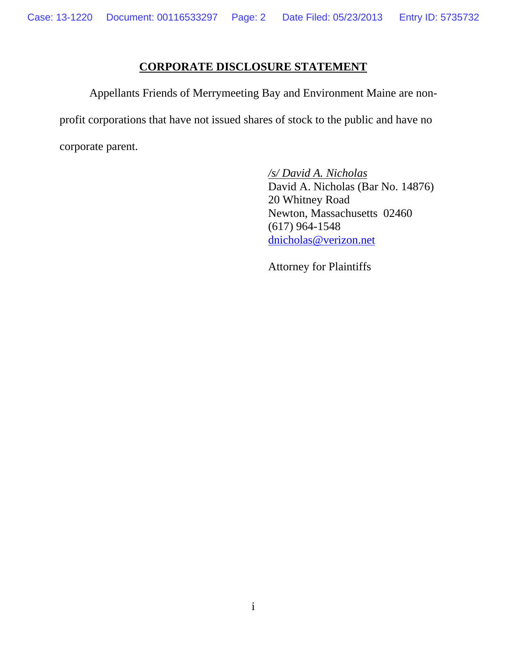## **CORPORATE DISCLOSURE STATEMENT**

 Appellants Friends of Merrymeeting Bay and Environment Maine are nonprofit corporations that have not issued shares of stock to the public and have no corporate parent.

> */s/ David A. Nicholas* David A. Nicholas (Bar No. 14876) 20 Whitney Road Newton, Massachusetts 02460 (617) 964-1548 dnicholas@verizon.net

Attorney for Plaintiffs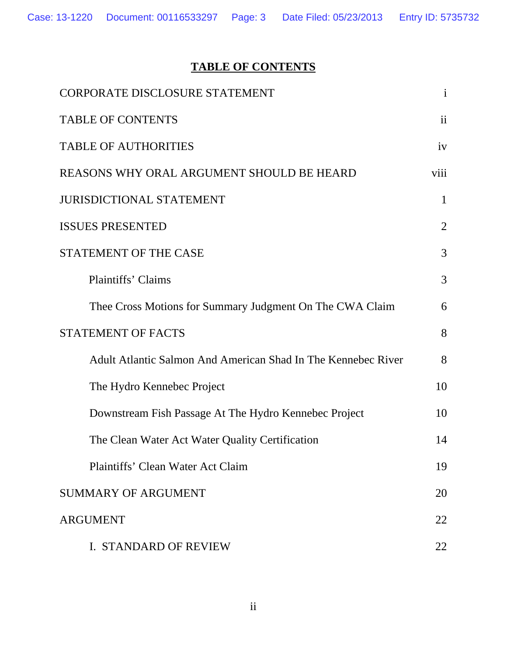# **TABLE OF CONTENTS**

| <b>CORPORATE DISCLOSURE STATEMENT</b>                         | $\mathbf{i}$   |  |  |
|---------------------------------------------------------------|----------------|--|--|
| <b>TABLE OF CONTENTS</b>                                      | $\mathbf{ii}$  |  |  |
| <b>TABLE OF AUTHORITIES</b>                                   | iv             |  |  |
| REASONS WHY ORAL ARGUMENT SHOULD BE HEARD                     | viii           |  |  |
| <b>JURISDICTIONAL STATEMENT</b>                               |                |  |  |
| <b>ISSUES PRESENTED</b>                                       | $\overline{2}$ |  |  |
| STATEMENT OF THE CASE                                         | 3              |  |  |
| <b>Plaintiffs' Claims</b>                                     | 3              |  |  |
| Thee Cross Motions for Summary Judgment On The CWA Claim      | 6              |  |  |
| STATEMENT OF FACTS                                            |                |  |  |
| Adult Atlantic Salmon And American Shad In The Kennebec River | 8              |  |  |
| The Hydro Kennebec Project                                    | 10             |  |  |
| Downstream Fish Passage At The Hydro Kennebec Project         | 10             |  |  |
| The Clean Water Act Water Quality Certification               | 14             |  |  |
| Plaintiffs' Clean Water Act Claim                             | 19             |  |  |
| <b>SUMMARY OF ARGUMENT</b>                                    | 20             |  |  |
| <b>ARGUMENT</b>                                               |                |  |  |
| <b>I. STANDARD OF REVIEW</b>                                  | 22             |  |  |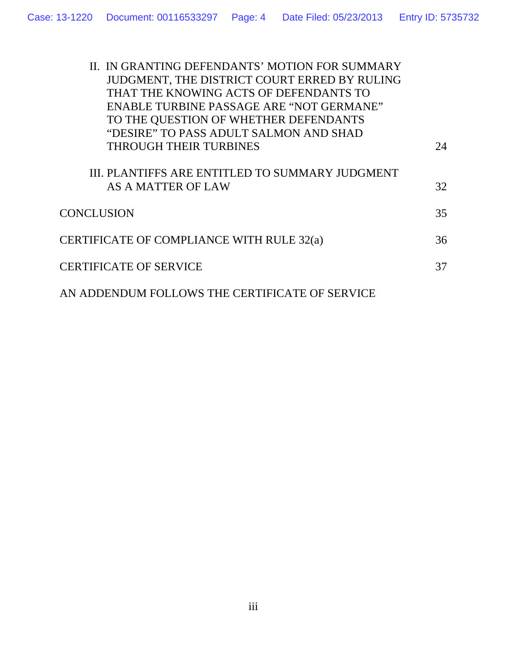| II. IN GRANTING DEFENDANTS' MOTION FOR SUMMARY  |    |
|-------------------------------------------------|----|
| JUDGMENT, THE DISTRICT COURT ERRED BY RULING    |    |
| THAT THE KNOWING ACTS OF DEFENDANTS TO          |    |
| ENABLE TURBINE PASSAGE ARE "NOT GERMANE"        |    |
| TO THE QUESTION OF WHETHER DEFENDANTS           |    |
| "DESIRE" TO PASS ADULT SALMON AND SHAD          |    |
| <b>THROUGH THEIR TURBINES</b>                   | 24 |
|                                                 |    |
| III. PLANTIFFS ARE ENTITLED TO SUMMARY JUDGMENT |    |
| AS A MATTER OF LAW                              | 32 |
|                                                 |    |
| <b>CONCLUSION</b>                               | 35 |
| CERTIFICATE OF COMPLIANCE WITH RULE 32(a)       | 36 |
|                                                 |    |
| <b>CERTIFICATE OF SERVICE</b>                   | 37 |
|                                                 |    |
| AN ADDENDUM FOLLOWS THE CERTIFICATE OF SERVICE  |    |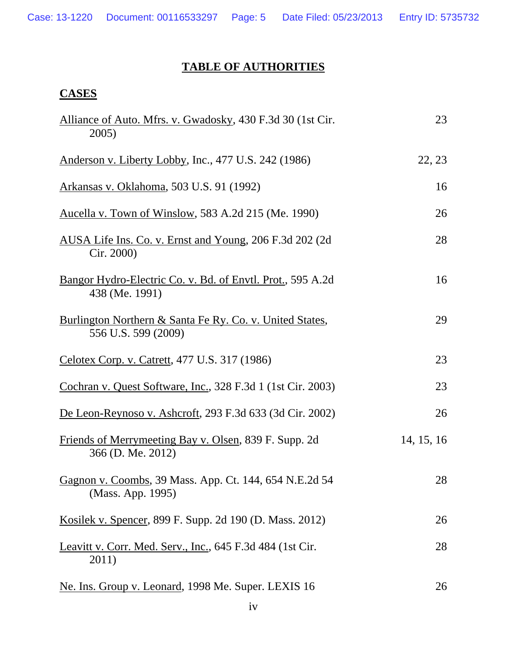## **TABLE OF AUTHORITIES**

## **CASES**

| Alliance of Auto. Mfrs. v. Gwadosky, 430 F.3d 30 (1st Cir.<br>2005)                        | 23         |
|--------------------------------------------------------------------------------------------|------------|
| Anderson v. Liberty Lobby, Inc., 477 U.S. 242 (1986)                                       | 22, 23     |
| Arkansas v. Oklahoma, 503 U.S. 91 (1992)                                                   | 16         |
| <u>Aucella v. Town of Winslow</u> , 583 A.2d 215 (Me. 1990)                                | 26         |
| AUSA Life Ins. Co. v. Ernst and Young, 206 F.3d 202 (2d)<br>Cir. 2000)                     | 28         |
| Bangor Hydro-Electric Co. v. Bd. of Envtl. Prot., 595 A.2d<br>438 (Me. 1991)               | 16         |
| <b>Burlington Northern &amp; Santa Fe Ry. Co. v. United States,</b><br>556 U.S. 599 (2009) | 29         |
| Celotex Corp. v. Catrett, 477 U.S. 317 (1986)                                              | 23         |
| Cochran v. Quest Software, Inc., 328 F.3d 1 (1st Cir. 2003)                                | 23         |
| De Leon-Reynoso v. Ashcroft, 293 F.3d 633 (3d Cir. 2002)                                   | 26         |
| Friends of Merrymeeting Bay v. Olsen, 839 F. Supp. 2d<br>366 (D. Me. 2012)                 | 14, 15, 16 |
| Gagnon v. Coombs, 39 Mass. App. Ct. 144, 654 N.E.2d 54<br>(Mass. App. 1995)                | 28         |
| <u>Kosilek v. Spencer</u> , 899 F. Supp. 2d 190 (D. Mass. 2012)                            | 26         |
| Leavitt v. Corr. Med. Serv., Inc., 645 F.3d 484 (1st Cir.<br>2011)                         | 28         |
| Ne. Ins. Group v. Leonard, 1998 Me. Super. LEXIS 16                                        | 26         |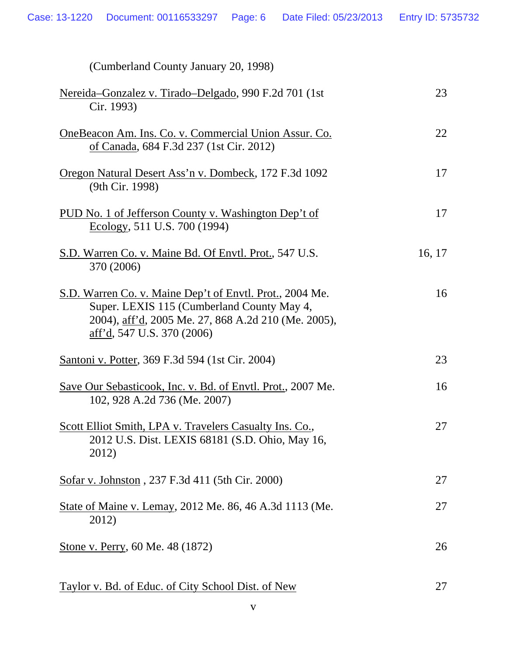| (Cumberland County January 20, 1998)                                                                                                                                                        |        |
|---------------------------------------------------------------------------------------------------------------------------------------------------------------------------------------------|--------|
| Nereida-Gonzalez v. Tirado-Delgado, 990 F.2d 701 (1st<br>Cir. 1993)                                                                                                                         | 23     |
| <u>OneBeacon Am. Ins. Co. v. Commercial Union Assur. Co.</u><br>of Canada, 684 F.3d 237 (1st Cir. 2012)                                                                                     | 22     |
| <u>Oregon Natural Desert Ass'n v. Dombeck</u> , 172 F.3d 1092<br>(9th Cir. 1998)                                                                                                            | 17     |
| <u>PUD No. 1 of Jefferson County v. Washington Dep't of</u><br>Ecology, 511 U.S. 700 (1994)                                                                                                 | 17     |
| S.D. Warren Co. v. Maine Bd. Of Envtl. Prot., 547 U.S.<br>370 (2006)                                                                                                                        | 16, 17 |
| S.D. Warren Co. v. Maine Dep't of Envtl. Prot., 2004 Me.<br>Super. LEXIS 115 (Cumberland County May 4,<br>2004), aff'd, 2005 Me. 27, 868 A.2d 210 (Me. 2005),<br>aff'd, 547 U.S. 370 (2006) | 16     |
| <u>Santoni v. Potter</u> , 369 F.3d 594 (1st Cir. 2004)                                                                                                                                     | 23     |
| Save Our Sebasticook, Inc. v. Bd. of Envtl. Prot., 2007 Me.<br>102, 928 A.2d 736 (Me. 2007)                                                                                                 | 16     |
| Scott Elliot Smith, LPA v. Travelers Casualty Ins. Co.,<br>2012 U.S. Dist. LEXIS 68181 (S.D. Ohio, May 16,<br>2012)                                                                         | 27     |
| Sofar v. Johnston, 237 F.3d 411 (5th Cir. 2000)                                                                                                                                             | 27     |
| State of Maine v. Lemay, 2012 Me. 86, 46 A.3d 1113 (Me.<br>2012)                                                                                                                            | 27     |
| Stone v. Perry, 60 Me. 48 (1872)                                                                                                                                                            | 26     |
|                                                                                                                                                                                             |        |

Taylor v. Bd. of Educ. of City School Dist. of New 27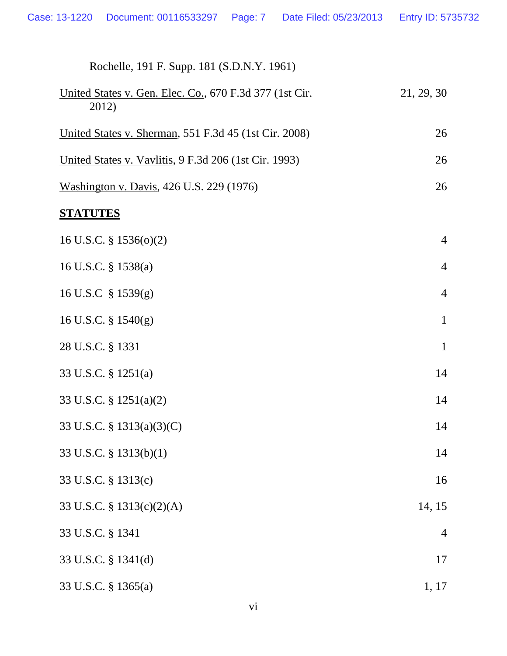| Rochelle, 191 F. Supp. 181 (S.D.N.Y. 1961)                       |                |
|------------------------------------------------------------------|----------------|
| United States v. Gen. Elec. Co., 670 F.3d 377 (1st Cir.<br>2012) | 21, 29, 30     |
| United States v. Sherman, 551 F.3d 45 (1st Cir. 2008)            | 26             |
| United States v. Vavlitis, 9 F.3d 206 (1st Cir. 1993)            | 26             |
| Washington v. Davis, 426 U.S. 229 (1976)                         | 26             |
| <b>STATUTES</b>                                                  |                |
| 16 U.S.C. $\S$ 1536(o)(2)                                        | $\overline{4}$ |
| 16 U.S.C. § 1538(a)                                              | $\overline{4}$ |
| 16 U.S.C $\S$ 1539(g)                                            | $\overline{4}$ |
| 16 U.S.C. $\S$ 1540(g)                                           | $\mathbf{1}$   |
| 28 U.S.C. § 1331                                                 | $\mathbf{1}$   |
| 33 U.S.C. § 1251(a)                                              | 14             |
| 33 U.S.C. § 1251(a)(2)                                           | 14             |
| 33 U.S.C. § 1313(a)(3)(C)                                        | 14             |
| 33 U.S.C. § 1313(b)(1)                                           | 14             |
| 33 U.S.C. § 1313(c)                                              | 16             |
| 33 U.S.C. § 1313(c)(2)(A)                                        | 14, 15         |
| 33 U.S.C. § 1341                                                 | $\overline{4}$ |
| 33 U.S.C. § 1341(d)                                              | 17             |
| 33 U.S.C. § 1365(a)                                              | 1, 17          |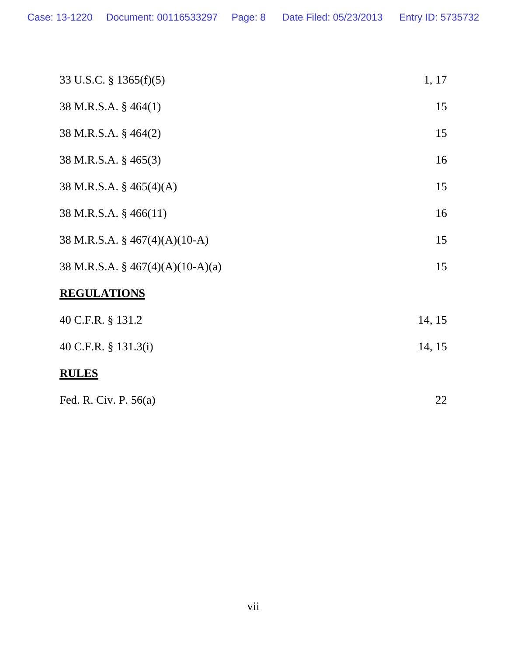| <b>RULES</b>                       |        |
|------------------------------------|--------|
| 40 C.F.R. § 131.3(i)               | 14, 15 |
| 40 C.F.R. § 131.2                  | 14, 15 |
| <b>REGULATIONS</b>                 |        |
| 38 M.R.S.A. § $467(4)(A)(10-A)(a)$ | 15     |
| 38 M.R.S.A. § $467(4)(A)(10-A)$    | 15     |
| 38 M.R.S.A. § 466(11)              | 16     |
| 38 M.R.S.A. $\S$ 465(4)(A)         | 15     |
| 38 M.R.S.A. § 465(3)               | 16     |
| 38 M.R.S.A. § 464(2)               | 15     |
| 38 M.R.S.A. § 464(1)               | 15     |
| 33 U.S.C. § 1365(f)(5)             | 1, 17  |

| Fed. R. Civ. P. $56(a)$ |  |
|-------------------------|--|
|                         |  |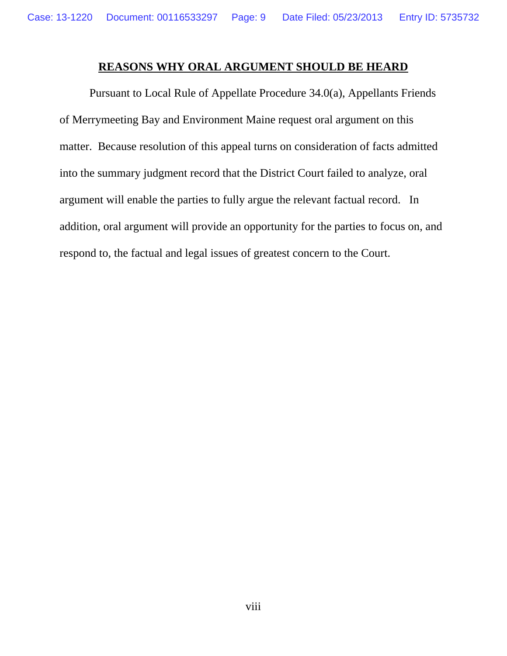## **REASONS WHY ORAL ARGUMENT SHOULD BE HEARD**

 Pursuant to Local Rule of Appellate Procedure 34.0(a), Appellants Friends of Merrymeeting Bay and Environment Maine request oral argument on this matter. Because resolution of this appeal turns on consideration of facts admitted into the summary judgment record that the District Court failed to analyze, oral argument will enable the parties to fully argue the relevant factual record. In addition, oral argument will provide an opportunity for the parties to focus on, and respond to, the factual and legal issues of greatest concern to the Court.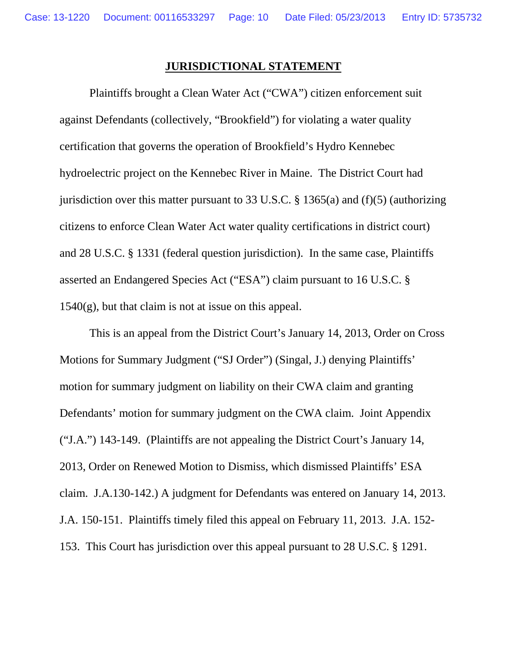## **JURISDICTIONAL STATEMENT**

Plaintiffs brought a Clean Water Act ("CWA") citizen enforcement suit against Defendants (collectively, "Brookfield") for violating a water quality certification that governs the operation of Brookfield's Hydro Kennebec hydroelectric project on the Kennebec River in Maine. The District Court had jurisdiction over this matter pursuant to 33 U.S.C. § 1365(a) and (f)(5) (authorizing citizens to enforce Clean Water Act water quality certifications in district court) and 28 U.S.C. § 1331 (federal question jurisdiction). In the same case, Plaintiffs asserted an Endangered Species Act ("ESA") claim pursuant to 16 U.S.C. §  $1540(g)$ , but that claim is not at issue on this appeal.

This is an appeal from the District Court's January 14, 2013, Order on Cross Motions for Summary Judgment ("SJ Order") (Singal, J.) denying Plaintiffs' motion for summary judgment on liability on their CWA claim and granting Defendants' motion for summary judgment on the CWA claim. Joint Appendix ("J.A.") 143-149. (Plaintiffs are not appealing the District Court's January 14, 2013, Order on Renewed Motion to Dismiss, which dismissed Plaintiffs' ESA claim. J.A.130-142.) A judgment for Defendants was entered on January 14, 2013. J.A. 150-151. Plaintiffs timely filed this appeal on February 11, 2013. J.A. 152- 153. This Court has jurisdiction over this appeal pursuant to 28 U.S.C. § 1291.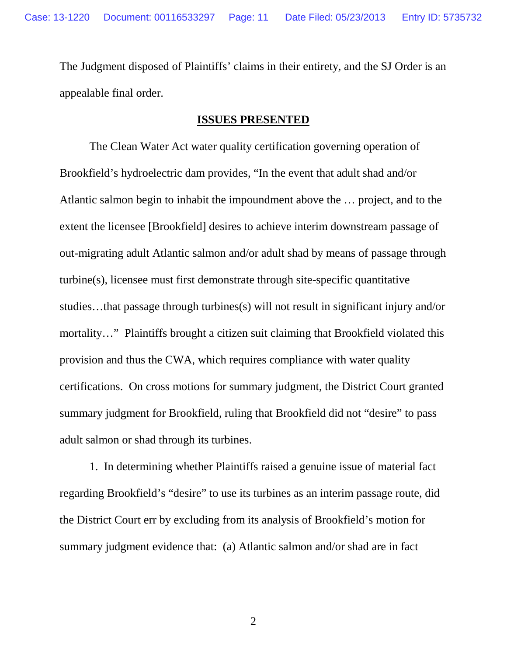The Judgment disposed of Plaintiffs' claims in their entirety, and the SJ Order is an appealable final order.

### **ISSUES PRESENTED**

The Clean Water Act water quality certification governing operation of Brookfield's hydroelectric dam provides, "In the event that adult shad and/or Atlantic salmon begin to inhabit the impoundment above the … project, and to the extent the licensee [Brookfield] desires to achieve interim downstream passage of out-migrating adult Atlantic salmon and/or adult shad by means of passage through turbine(s), licensee must first demonstrate through site-specific quantitative studies…that passage through turbines(s) will not result in significant injury and/or mortality..." Plaintiffs brought a citizen suit claiming that Brookfield violated this provision and thus the CWA, which requires compliance with water quality certifications. On cross motions for summary judgment, the District Court granted summary judgment for Brookfield, ruling that Brookfield did not "desire" to pass adult salmon or shad through its turbines.

1. In determining whether Plaintiffs raised a genuine issue of material fact regarding Brookfield's "desire" to use its turbines as an interim passage route, did the District Court err by excluding from its analysis of Brookfield's motion for summary judgment evidence that: (a) Atlantic salmon and/or shad are in fact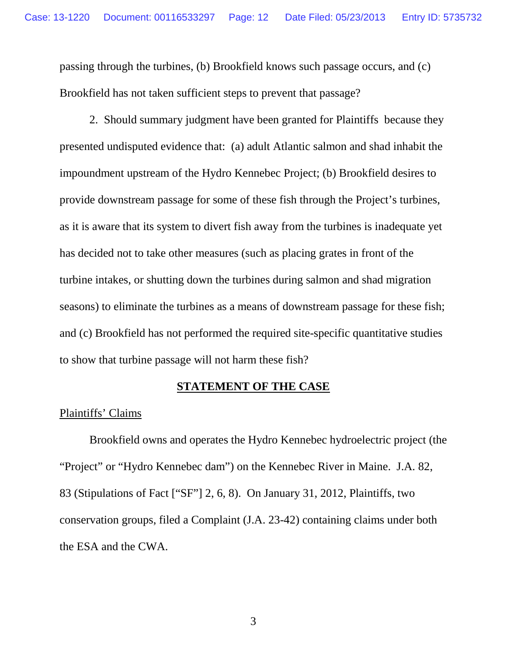passing through the turbines, (b) Brookfield knows such passage occurs, and (c) Brookfield has not taken sufficient steps to prevent that passage?

2. Should summary judgment have been granted for Plaintiffs because they presented undisputed evidence that: (a) adult Atlantic salmon and shad inhabit the impoundment upstream of the Hydro Kennebec Project; (b) Brookfield desires to provide downstream passage for some of these fish through the Project's turbines, as it is aware that its system to divert fish away from the turbines is inadequate yet has decided not to take other measures (such as placing grates in front of the turbine intakes, or shutting down the turbines during salmon and shad migration seasons) to eliminate the turbines as a means of downstream passage for these fish; and (c) Brookfield has not performed the required site-specific quantitative studies to show that turbine passage will not harm these fish?

## **STATEMENT OF THE CASE**

### Plaintiffs' Claims

Brookfield owns and operates the Hydro Kennebec hydroelectric project (the "Project" or "Hydro Kennebec dam") on the Kennebec River in Maine. J.A. 82, 83 (Stipulations of Fact ["SF"] 2, 6, 8). On January 31, 2012, Plaintiffs, two conservation groups, filed a Complaint (J.A. 23-42) containing claims under both the ESA and the CWA.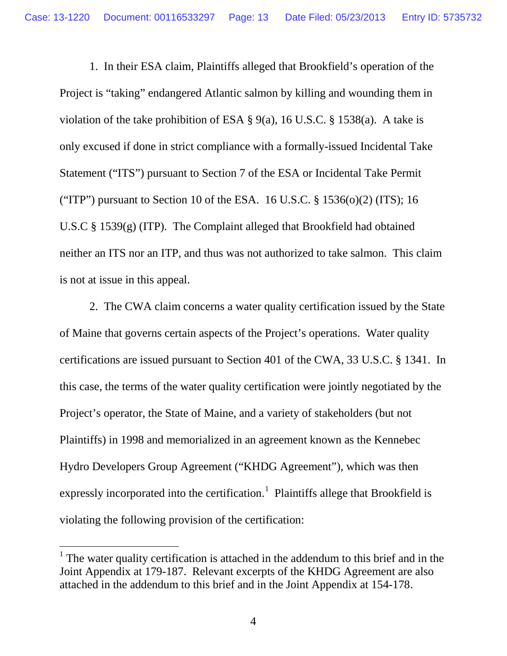1. In their ESA claim, Plaintiffs alleged that Brookfield's operation of the Project is "taking" endangered Atlantic salmon by killing and wounding them in violation of the take prohibition of ESA § 9(a), 16 U.S.C. § 1538(a). A take is only excused if done in strict compliance with a formally-issued Incidental Take Statement ("ITS") pursuant to Section 7 of the ESA or Incidental Take Permit ("ITP") pursuant to Section 10 of the ESA. 16 U.S.C.  $\S 1536(0)(2)$  (ITS); 16 U.S.C § 1539(g) (ITP). The Complaint alleged that Brookfield had obtained neither an ITS nor an ITP, and thus was not authorized to take salmon. This claim is not at issue in this appeal.

2. The CWA claim concerns a water quality certification issued by the State of Maine that governs certain aspects of the Project's operations. Water quality certifications are issued pursuant to Section 401 of the CWA, 33 U.S.C. § 1341. In this case, the terms of the water quality certification were jointly negotiated by the Project's operator, the State of Maine, and a variety of stakeholders (but not Plaintiffs) in 1998 and memorialized in an agreement known as the Kennebec Hydro Developers Group Agreement ("KHDG Agreement"), which was then expressly incorporated into the certification.<sup>[1](#page-12-0)</sup> Plaintiffs allege that Brookfield is violating the following provision of the certification:

<span id="page-12-0"></span> $<sup>1</sup>$  The water quality certification is attached in the addendum to this brief and in the</sup> Joint Appendix at 179-187. Relevant excerpts of the KHDG Agreement are also attached in the addendum to this brief and in the Joint Appendix at 154-178.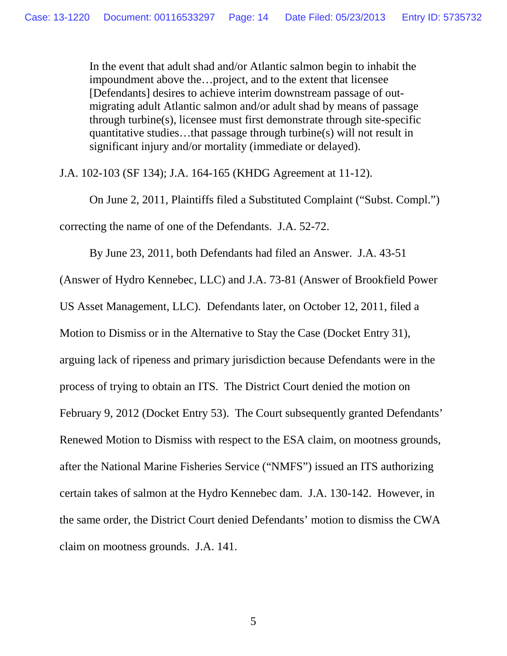In the event that adult shad and/or Atlantic salmon begin to inhabit the impoundment above the…project, and to the extent that licensee [Defendants] desires to achieve interim downstream passage of outmigrating adult Atlantic salmon and/or adult shad by means of passage through turbine(s), licensee must first demonstrate through site-specific quantitative studies…that passage through turbine(s) will not result in significant injury and/or mortality (immediate or delayed).

J.A. 102-103 (SF 134); J.A. 164-165 (KHDG Agreement at 11-12).

On June 2, 2011, Plaintiffs filed a Substituted Complaint ("Subst. Compl.") correcting the name of one of the Defendants. J.A. 52-72.

By June 23, 2011, both Defendants had filed an Answer. J.A. 43-51 (Answer of Hydro Kennebec, LLC) and J.A. 73-81 (Answer of Brookfield Power US Asset Management, LLC). Defendants later, on October 12, 2011, filed a Motion to Dismiss or in the Alternative to Stay the Case (Docket Entry 31), arguing lack of ripeness and primary jurisdiction because Defendants were in the process of trying to obtain an ITS. The District Court denied the motion on February 9, 2012 (Docket Entry 53). The Court subsequently granted Defendants' Renewed Motion to Dismiss with respect to the ESA claim, on mootness grounds, after the National Marine Fisheries Service ("NMFS") issued an ITS authorizing certain takes of salmon at the Hydro Kennebec dam. J.A. 130-142. However, in the same order, the District Court denied Defendants' motion to dismiss the CWA claim on mootness grounds. J.A. 141.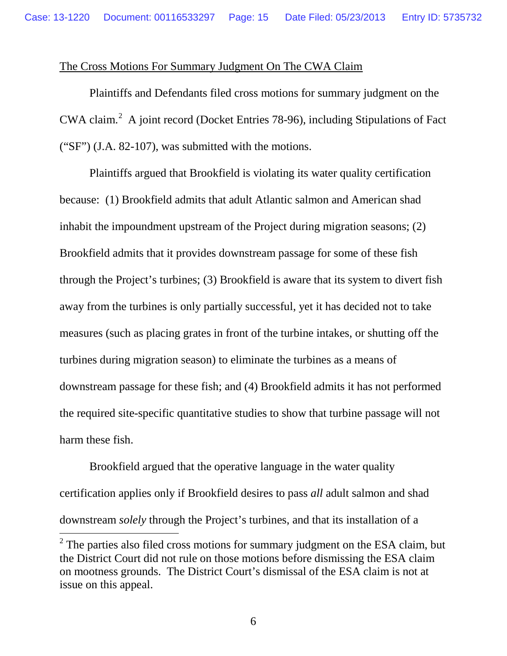## The Cross Motions For Summary Judgment On The CWA Claim

Plaintiffs and Defendants filed cross motions for summary judgment on the CWA claim. $2$  A joint record (Docket Entries 78-96), including Stipulations of Fact ("SF") (J.A. 82-107), was submitted with the motions.

Plaintiffs argued that Brookfield is violating its water quality certification because: (1) Brookfield admits that adult Atlantic salmon and American shad inhabit the impoundment upstream of the Project during migration seasons; (2) Brookfield admits that it provides downstream passage for some of these fish through the Project's turbines; (3) Brookfield is aware that its system to divert fish away from the turbines is only partially successful, yet it has decided not to take measures (such as placing grates in front of the turbine intakes, or shutting off the turbines during migration season) to eliminate the turbines as a means of downstream passage for these fish; and (4) Brookfield admits it has not performed the required site-specific quantitative studies to show that turbine passage will not harm these fish.

Brookfield argued that the operative language in the water quality certification applies only if Brookfield desires to pass *all* adult salmon and shad downstream *solely* through the Project's turbines, and that its installation of a

<span id="page-14-0"></span> $2$  The parties also filed cross motions for summary judgment on the ESA claim, but the District Court did not rule on those motions before dismissing the ESA claim on mootness grounds. The District Court's dismissal of the ESA claim is not at issue on this appeal.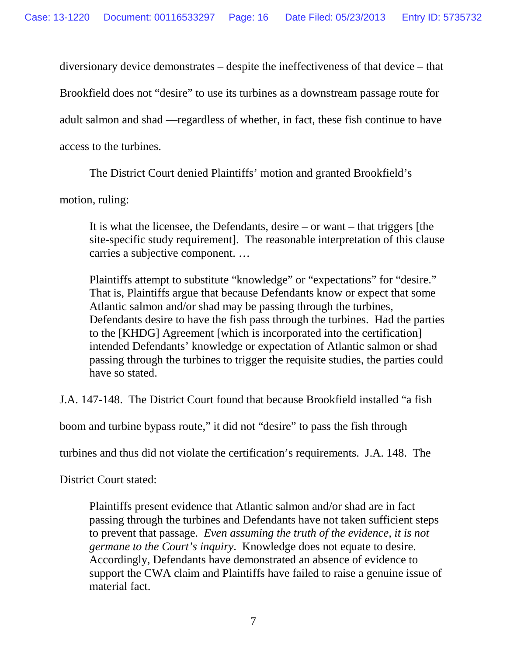diversionary device demonstrates – despite the ineffectiveness of that device – that

Brookfield does not "desire" to use its turbines as a downstream passage route for

adult salmon and shad —regardless of whether, in fact, these fish continue to have

access to the turbines.

The District Court denied Plaintiffs' motion and granted Brookfield's

motion, ruling:

It is what the licensee, the Defendants, desire – or want – that triggers [the site-specific study requirement]. The reasonable interpretation of this clause carries a subjective component. …

Plaintiffs attempt to substitute "knowledge" or "expectations" for "desire." That is, Plaintiffs argue that because Defendants know or expect that some Atlantic salmon and/or shad may be passing through the turbines, Defendants desire to have the fish pass through the turbines. Had the parties to the [KHDG] Agreement [which is incorporated into the certification] intended Defendants' knowledge or expectation of Atlantic salmon or shad passing through the turbines to trigger the requisite studies, the parties could have so stated.

J.A. 147-148. The District Court found that because Brookfield installed "a fish

boom and turbine bypass route," it did not "desire" to pass the fish through

turbines and thus did not violate the certification's requirements. J.A. 148. The

District Court stated:

Plaintiffs present evidence that Atlantic salmon and/or shad are in fact passing through the turbines and Defendants have not taken sufficient steps to prevent that passage. *Even assuming the truth of the evidence, it is not germane to the Court's inquiry*. Knowledge does not equate to desire. Accordingly, Defendants have demonstrated an absence of evidence to support the CWA claim and Plaintiffs have failed to raise a genuine issue of material fact.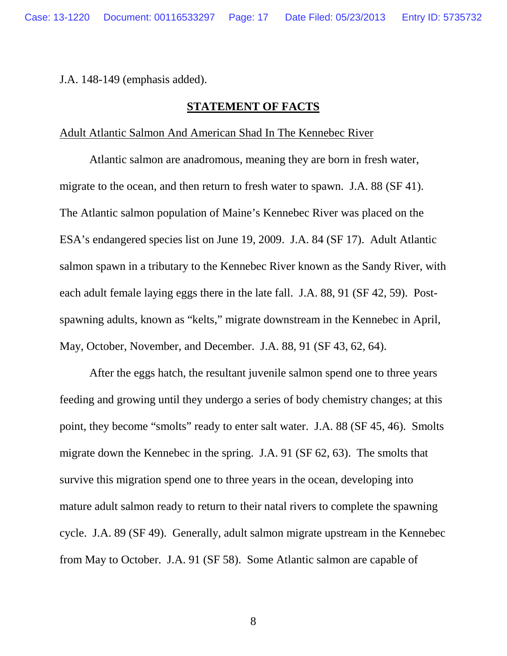J.A. 148-149 (emphasis added).

## **STATEMENT OF FACTS**

#### Adult Atlantic Salmon And American Shad In The Kennebec River

Atlantic salmon are anadromous, meaning they are born in fresh water, migrate to the ocean, and then return to fresh water to spawn. J.A. 88 (SF 41). The Atlantic salmon population of Maine's Kennebec River was placed on the ESA's endangered species list on June 19, 2009. J.A. 84 (SF 17). Adult Atlantic salmon spawn in a tributary to the Kennebec River known as the Sandy River, with each adult female laying eggs there in the late fall. J.A. 88, 91 (SF 42, 59). Postspawning adults, known as "kelts," migrate downstream in the Kennebec in April, May, October, November, and December. J.A. 88, 91 (SF 43, 62, 64).

After the eggs hatch, the resultant juvenile salmon spend one to three years feeding and growing until they undergo a series of body chemistry changes; at this point, they become "smolts" ready to enter salt water. J.A. 88 (SF 45, 46). Smolts migrate down the Kennebec in the spring. J.A. 91 (SF 62, 63). The smolts that survive this migration spend one to three years in the ocean, developing into mature adult salmon ready to return to their natal rivers to complete the spawning cycle. J.A. 89 (SF 49). Generally, adult salmon migrate upstream in the Kennebec from May to October. J.A. 91 (SF 58). Some Atlantic salmon are capable of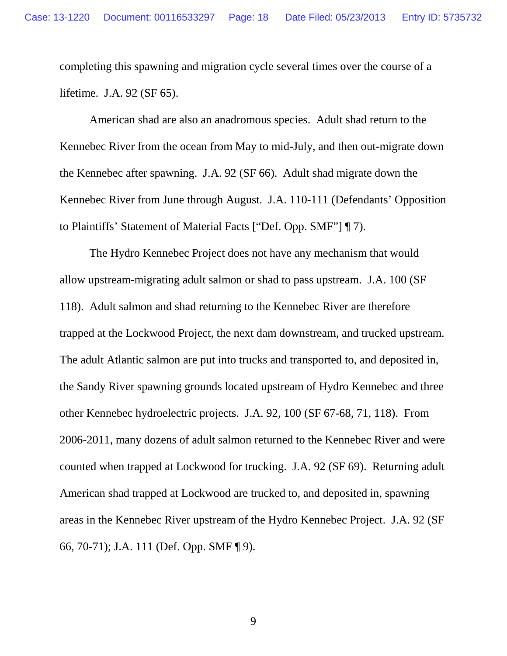completing this spawning and migration cycle several times over the course of a lifetime. J.A. 92 (SF 65).

American shad are also an anadromous species. Adult shad return to the Kennebec River from the ocean from May to mid-July, and then out-migrate down the Kennebec after spawning. J.A. 92 (SF 66). Adult shad migrate down the Kennebec River from June through August. J.A. 110-111 (Defendants' Opposition to Plaintiffs' Statement of Material Facts ["Def. Opp. SMF"] ¶ 7).

The Hydro Kennebec Project does not have any mechanism that would allow upstream-migrating adult salmon or shad to pass upstream. J.A. 100 (SF 118). Adult salmon and shad returning to the Kennebec River are therefore trapped at the Lockwood Project, the next dam downstream, and trucked upstream. The adult Atlantic salmon are put into trucks and transported to, and deposited in, the Sandy River spawning grounds located upstream of Hydro Kennebec and three other Kennebec hydroelectric projects. J.A. 92, 100 (SF 67-68, 71, 118). From 2006-2011, many dozens of adult salmon returned to the Kennebec River and were counted when trapped at Lockwood for trucking. J.A. 92 (SF 69). Returning adult American shad trapped at Lockwood are trucked to, and deposited in, spawning areas in the Kennebec River upstream of the Hydro Kennebec Project. J.A. 92 (SF 66, 70-71); J.A. 111 (Def. Opp. SMF ¶ 9).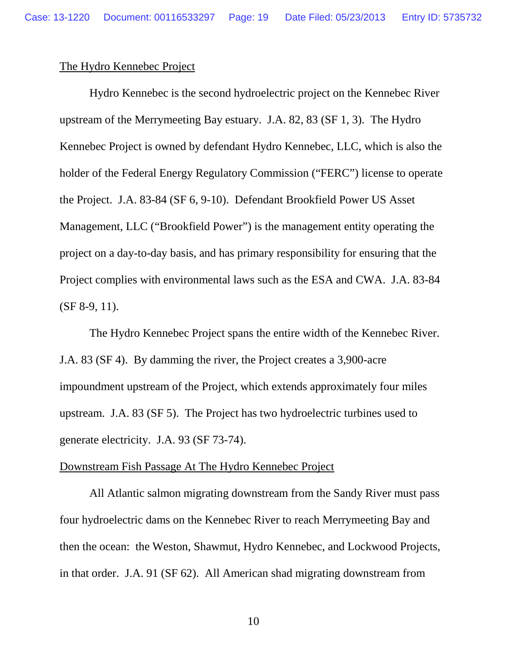## The Hydro Kennebec Project

Hydro Kennebec is the second hydroelectric project on the Kennebec River upstream of the Merrymeeting Bay estuary. J.A. 82, 83 (SF 1, 3). The Hydro Kennebec Project is owned by defendant Hydro Kennebec, LLC, which is also the holder of the Federal Energy Regulatory Commission ("FERC") license to operate the Project. J.A. 83-84 (SF 6, 9-10). Defendant Brookfield Power US Asset Management, LLC ("Brookfield Power") is the management entity operating the project on a day-to-day basis, and has primary responsibility for ensuring that the Project complies with environmental laws such as the ESA and CWA. J.A. 83-84 (SF 8-9, 11).

The Hydro Kennebec Project spans the entire width of the Kennebec River. J.A. 83 (SF 4). By damming the river, the Project creates a 3,900-acre impoundment upstream of the Project, which extends approximately four miles upstream. J.A. 83 (SF 5). The Project has two hydroelectric turbines used to generate electricity. J.A. 93 (SF 73-74).

#### Downstream Fish Passage At The Hydro Kennebec Project

All Atlantic salmon migrating downstream from the Sandy River must pass four hydroelectric dams on the Kennebec River to reach Merrymeeting Bay and then the ocean: the Weston, Shawmut, Hydro Kennebec, and Lockwood Projects, in that order. J.A. 91 (SF 62). All American shad migrating downstream from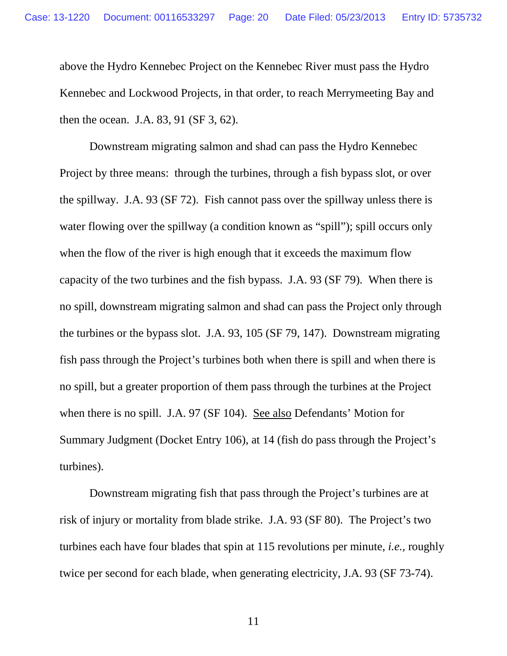above the Hydro Kennebec Project on the Kennebec River must pass the Hydro Kennebec and Lockwood Projects, in that order, to reach Merrymeeting Bay and then the ocean. J.A. 83, 91 (SF 3, 62).

Downstream migrating salmon and shad can pass the Hydro Kennebec Project by three means: through the turbines, through a fish bypass slot, or over the spillway. J.A. 93 (SF 72). Fish cannot pass over the spillway unless there is water flowing over the spillway (a condition known as "spill"); spill occurs only when the flow of the river is high enough that it exceeds the maximum flow capacity of the two turbines and the fish bypass. J.A. 93 (SF 79). When there is no spill, downstream migrating salmon and shad can pass the Project only through the turbines or the bypass slot. J.A. 93, 105 (SF 79, 147). Downstream migrating fish pass through the Project's turbines both when there is spill and when there is no spill, but a greater proportion of them pass through the turbines at the Project when there is no spill. J.A. 97 (SF 104). See also Defendants' Motion for Summary Judgment (Docket Entry 106), at 14 (fish do pass through the Project's turbines).

Downstream migrating fish that pass through the Project's turbines are at risk of injury or mortality from blade strike. J.A. 93 (SF 80). The Project's two turbines each have four blades that spin at 115 revolutions per minute, *i.e.,* roughly twice per second for each blade, when generating electricity, J.A. 93 (SF 73-74).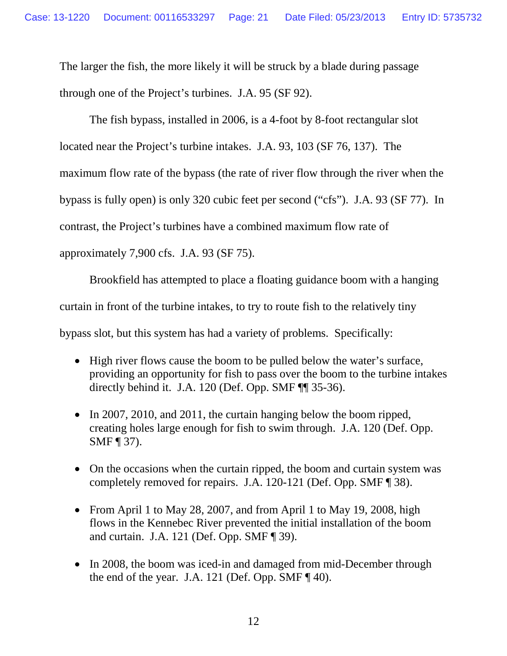The larger the fish, the more likely it will be struck by a blade during passage through one of the Project's turbines. J.A. 95 (SF 92).

The fish bypass, installed in 2006, is a 4-foot by 8-foot rectangular slot located near the Project's turbine intakes. J.A. 93, 103 (SF 76, 137). The maximum flow rate of the bypass (the rate of river flow through the river when the bypass is fully open) is only 320 cubic feet per second ("cfs"). J.A. 93 (SF 77). In contrast, the Project's turbines have a combined maximum flow rate of approximately 7,900 cfs. J.A. 93 (SF 75).

Brookfield has attempted to place a floating guidance boom with a hanging curtain in front of the turbine intakes, to try to route fish to the relatively tiny bypass slot, but this system has had a variety of problems. Specifically:

- High river flows cause the boom to be pulled below the water's surface, providing an opportunity for fish to pass over the boom to the turbine intakes directly behind it. J.A. 120 (Def. Opp. SMF ¶¶ 35-36).
- In 2007, 2010, and 2011, the curtain hanging below the boom ripped, creating holes large enough for fish to swim through. J.A. 120 (Def. Opp. SMF ¶ 37).
- On the occasions when the curtain ripped, the boom and curtain system was completely removed for repairs. J.A. 120-121 (Def. Opp. SMF ¶ 38).
- From April 1 to May 28, 2007, and from April 1 to May 19, 2008, high flows in the Kennebec River prevented the initial installation of the boom and curtain. J.A. 121 (Def. Opp. SMF ¶ 39).
- In 2008, the boom was iced-in and damaged from mid-December through the end of the year. J.A. 121 (Def. Opp. SMF  $\P$  40).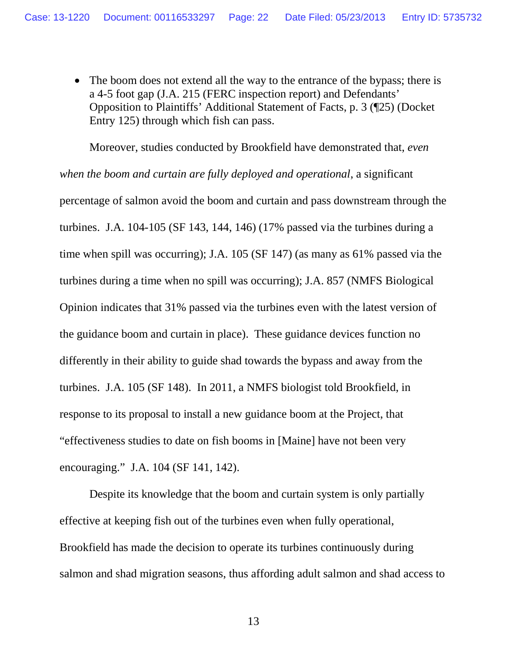• The boom does not extend all the way to the entrance of the bypass; there is a 4-5 foot gap (J.A. 215 (FERC inspection report) and Defendants' Opposition to Plaintiffs' Additional Statement of Facts, p. 3 (¶25) (Docket Entry 125) through which fish can pass.

Moreover, studies conducted by Brookfield have demonstrated that, *even when the boom and curtain are fully deployed and operational*, a significant percentage of salmon avoid the boom and curtain and pass downstream through the turbines. J.A. 104-105 (SF 143, 144, 146) (17% passed via the turbines during a time when spill was occurring); J.A. 105 (SF 147) (as many as 61% passed via the turbines during a time when no spill was occurring); J.A. 857 (NMFS Biological Opinion indicates that 31% passed via the turbines even with the latest version of the guidance boom and curtain in place). These guidance devices function no differently in their ability to guide shad towards the bypass and away from the turbines. J.A. 105 (SF 148). In 2011, a NMFS biologist told Brookfield, in response to its proposal to install a new guidance boom at the Project, that "effectiveness studies to date on fish booms in [Maine] have not been very encouraging." J.A. 104 (SF 141, 142).

Despite its knowledge that the boom and curtain system is only partially effective at keeping fish out of the turbines even when fully operational, Brookfield has made the decision to operate its turbines continuously during salmon and shad migration seasons, thus affording adult salmon and shad access to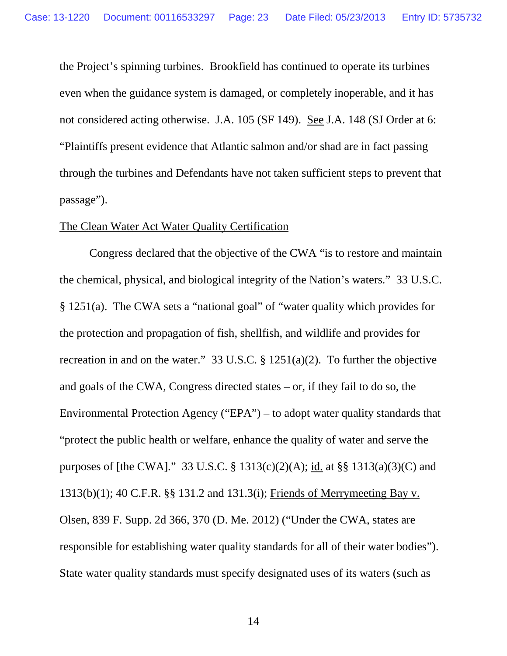the Project's spinning turbines. Brookfield has continued to operate its turbines even when the guidance system is damaged, or completely inoperable, and it has not considered acting otherwise. J.A. 105 (SF 149). See J.A. 148 (SJ Order at 6: "Plaintiffs present evidence that Atlantic salmon and/or shad are in fact passing through the turbines and Defendants have not taken sufficient steps to prevent that passage").

### The Clean Water Act Water Quality Certification

Congress declared that the objective of the CWA "is to restore and maintain the chemical, physical, and biological integrity of the Nation's waters." 33 U.S.C. § 1251(a). The CWA sets a "national goal" of "water quality which provides for the protection and propagation of fish, shellfish, and wildlife and provides for recreation in and on the water." 33 U.S.C. § 1251(a)(2). To further the objective and goals of the CWA, Congress directed states – or, if they fail to do so, the Environmental Protection Agency ("EPA") – to adopt water quality standards that "protect the public health or welfare, enhance the quality of water and serve the purposes of [the CWA]." 33 U.S.C. § 1313(c)(2)(A); id. at §§ 1313(a)(3)(C) and 1313(b)(1); 40 C.F.R. §§ 131.2 and 131.3(i); Friends of Merrymeeting Bay v. Olsen, 839 F. Supp. 2d 366, 370 (D. Me. 2012) ("Under the CWA, states are responsible for establishing water quality standards for all of their water bodies"). State water quality standards must specify designated uses of its waters (such as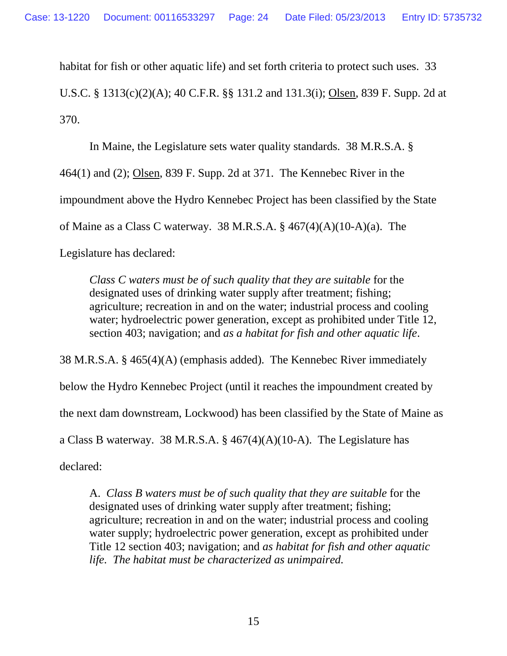habitat for fish or other aquatic life) and set forth criteria to protect such uses. 33

U.S.C. § 1313(c)(2)(A); 40 C.F.R. §§ 131.2 and 131.3(i); Olsen, 839 F. Supp. 2d at 370.

In Maine, the Legislature sets water quality standards. 38 M.R.S.A. § 464(1) and (2); Olsen, 839 F. Supp. 2d at 371. The Kennebec River in the impoundment above the Hydro Kennebec Project has been classified by the State of Maine as a Class C waterway. 38 M.R.S.A. § 467(4)(A)(10-A)(a). The Legislature has declared:

*Class C waters must be of such quality that they are suitable* for the designated uses of drinking water supply after treatment; fishing; agriculture; recreation in and on the water; industrial process and cooling water; hydroelectric power generation, except as prohibited under Title 12, section 403; navigation; and *as a habitat for fish and other aquatic life*.

38 M.R.S.A. § 465(4)(A) (emphasis added). The Kennebec River immediately below the Hydro Kennebec Project (until it reaches the impoundment created by the next dam downstream, Lockwood) has been classified by the State of Maine as a Class B waterway. 38 M.R.S.A. § 467(4)(A)(10-A). The Legislature has

declared:

A. *Class B waters must be of such quality that they are suitable* for the designated uses of drinking water supply after treatment; fishing; agriculture; recreation in and on the water; industrial process and cooling water supply; hydroelectric power generation, except as prohibited under Title 12 section 403; navigation; and *as habitat for fish and other aquatic life. The habitat must be characterized as unimpaired.*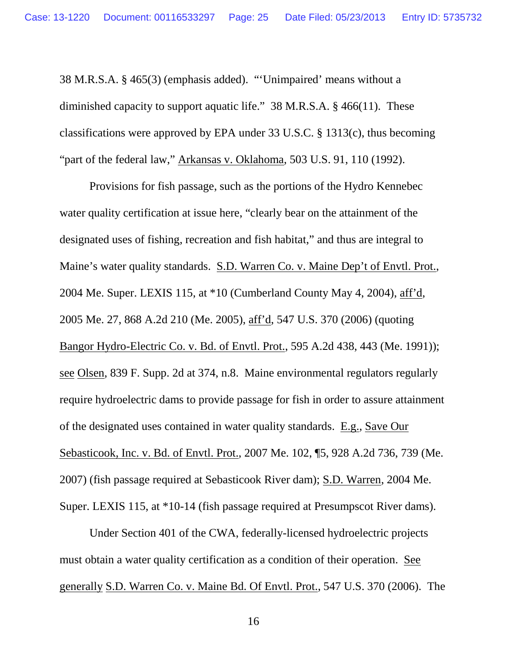38 M.R.S.A. § 465(3) (emphasis added). "'Unimpaired' means without a diminished capacity to support aquatic life." 38 M.R.S.A. § 466(11). These classifications were approved by EPA under 33 U.S.C. § 1313(c), thus becoming "part of the federal law," Arkansas v. Oklahoma, 503 U.S. 91, 110 (1992).

Provisions for fish passage, such as the portions of the Hydro Kennebec water quality certification at issue here, "clearly bear on the attainment of the designated uses of fishing, recreation and fish habitat," and thus are integral to Maine's water quality standards. S.D. Warren Co. v. Maine Dep't of Envtl. Prot., 2004 Me. Super. LEXIS 115, at \*10 (Cumberland County May 4, 2004), aff'd, 2005 Me. 27, 868 A.2d 210 (Me. 2005), aff'd, 547 U.S. 370 (2006) (quoting Bangor Hydro-Electric Co. v. Bd. of Envtl. Prot., 595 A.2d 438, 443 (Me. 1991)); see Olsen, 839 F. Supp. 2d at 374, n.8. Maine environmental regulators regularly require hydroelectric dams to provide passage for fish in order to assure attainment of the designated uses contained in water quality standards. E.g., Save Our Sebasticook, Inc. v. Bd. of Envtl. Prot., 2007 Me. 102, ¶5, 928 A.2d 736, 739 (Me. 2007) (fish passage required at Sebasticook River dam); S.D. Warren, 2004 Me. Super. LEXIS 115, at \*10-14 (fish passage required at Presumpscot River dams).

Under Section 401 of the CWA, federally-licensed hydroelectric projects must obtain a water quality certification as a condition of their operation. See generally S.D. Warren Co. v. Maine Bd. Of Envtl. Prot., 547 U.S. 370 (2006). The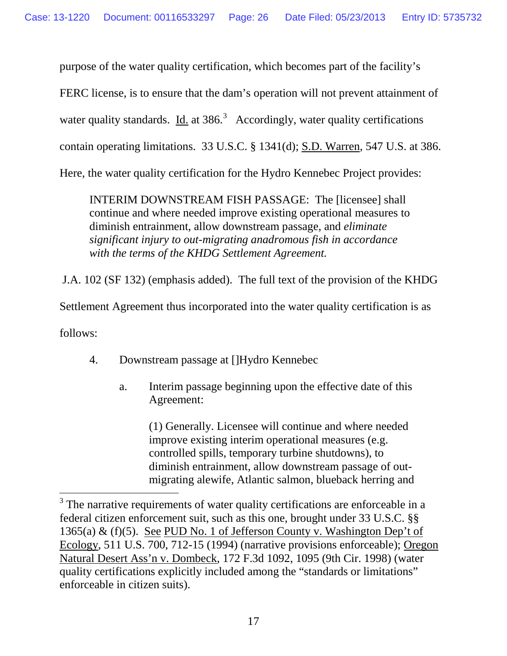purpose of the water quality certification, which becomes part of the facility's FERC license, is to ensure that the dam's operation will not prevent attainment of water quality standards. Id. at  $386<sup>3</sup>$  $386<sup>3</sup>$  Accordingly, water quality certifications contain operating limitations. 33 U.S.C. § 1341(d); S.D. Warren, 547 U.S. at 386. Here, the water quality certification for the Hydro Kennebec Project provides:

INTERIM DOWNSTREAM FISH PASSAGE: The [licensee] shall continue and where needed improve existing operational measures to diminish entrainment, allow downstream passage, and *eliminate significant injury to out-migrating anadromous fish in accordance with the terms of the KHDG Settlement Agreement.*

J.A. 102 (SF 132) (emphasis added). The full text of the provision of the KHDG

Settlement Agreement thus incorporated into the water quality certification is as

follows:

- 4. Downstream passage at []Hydro Kennebec
	- a. Interim passage beginning upon the effective date of this Agreement:

(1) Generally. Licensee will continue and where needed improve existing interim operational measures (e.g. controlled spills, temporary turbine shutdowns), to diminish entrainment, allow downstream passage of outmigrating alewife, Atlantic salmon, blueback herring and

<span id="page-25-0"></span><sup>&</sup>lt;sup>3</sup> The narrative requirements of water quality certifications are enforceable in a federal citizen enforcement suit, such as this one, brought under 33 U.S.C. §§ 1365(a) & (f)(5). See PUD No. 1 of Jefferson County v. Washington Dep't of Ecology, 511 U.S. 700, 712-15 (1994) (narrative provisions enforceable); Oregon Natural Desert Ass'n v. Dombeck, 172 F.3d 1092, 1095 (9th Cir. 1998) (water quality certifications explicitly included among the "standards or limitations" enforceable in citizen suits).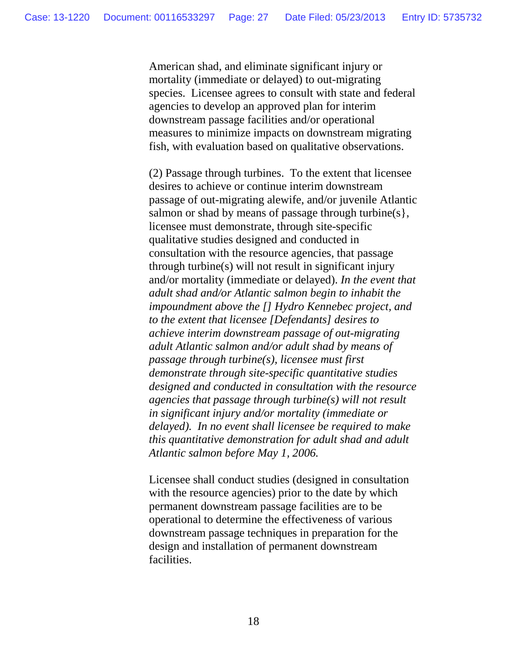American shad, and eliminate significant injury or mortality (immediate or delayed) to out-migrating species. Licensee agrees to consult with state and federal agencies to develop an approved plan for interim downstream passage facilities and/or operational measures to minimize impacts on downstream migrating fish, with evaluation based on qualitative observations.

(2) Passage through turbines. To the extent that licensee desires to achieve or continue interim downstream passage of out-migrating alewife, and/or juvenile Atlantic salmon or shad by means of passage through turbine(s), licensee must demonstrate, through site-specific qualitative studies designed and conducted in consultation with the resource agencies, that passage through turbine(s) will not result in significant injury and/or mortality (immediate or delayed). *In the event that adult shad and/or Atlantic salmon begin to inhabit the impoundment above the [] Hydro Kennebec project, and to the extent that licensee [Defendants] desires to achieve interim downstream passage of out-migrating adult Atlantic salmon and/or adult shad by means of passage through turbine(s), licensee must first demonstrate through site-specific quantitative studies designed and conducted in consultation with the resource agencies that passage through turbine(s) will not result in significant injury and/or mortality (immediate or delayed). In no event shall licensee be required to make this quantitative demonstration for adult shad and adult Atlantic salmon before May 1, 2006.*

Licensee shall conduct studies (designed in consultation with the resource agencies) prior to the date by which permanent downstream passage facilities are to be operational to determine the effectiveness of various downstream passage techniques in preparation for the design and installation of permanent downstream facilities.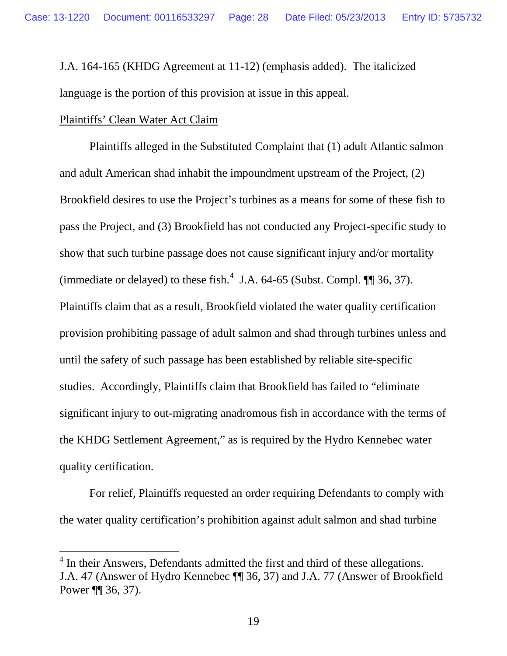J.A. 164-165 (KHDG Agreement at 11-12) (emphasis added). The italicized language is the portion of this provision at issue in this appeal.

## Plaintiffs' Clean Water Act Claim

Plaintiffs alleged in the Substituted Complaint that (1) adult Atlantic salmon and adult American shad inhabit the impoundment upstream of the Project, (2) Brookfield desires to use the Project's turbines as a means for some of these fish to pass the Project, and (3) Brookfield has not conducted any Project-specific study to show that such turbine passage does not cause significant injury and/or mortality (immediate or delayed) to these fish. $4$  J.A. 64-65 (Subst. Compl.  $\P$  36, 37). Plaintiffs claim that as a result, Brookfield violated the water quality certification provision prohibiting passage of adult salmon and shad through turbines unless and until the safety of such passage has been established by reliable site-specific studies. Accordingly, Plaintiffs claim that Brookfield has failed to "eliminate significant injury to out-migrating anadromous fish in accordance with the terms of the KHDG Settlement Agreement," as is required by the Hydro Kennebec water quality certification.

For relief, Plaintiffs requested an order requiring Defendants to comply with the water quality certification's prohibition against adult salmon and shad turbine

<span id="page-27-0"></span> $<sup>4</sup>$  In their Answers, Defendants admitted the first and third of these allegations.</sup> J.A. 47 (Answer of Hydro Kennebec ¶¶ 36, 37) and J.A. 77 (Answer of Brookfield Power ¶¶ 36, 37).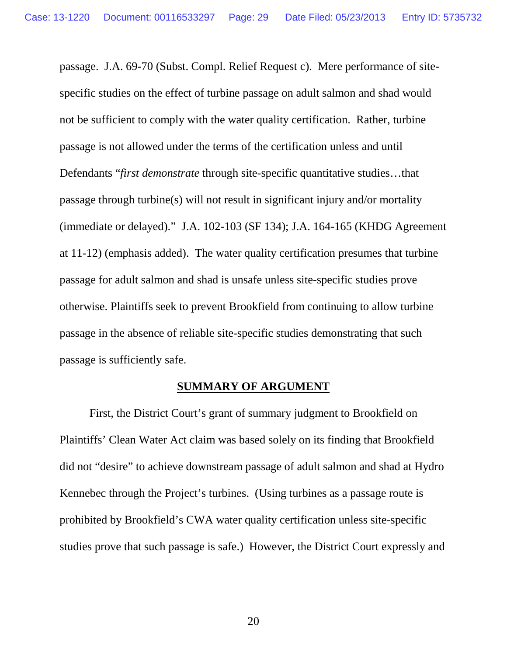passage. J.A. 69-70 (Subst. Compl. Relief Request c). Mere performance of sitespecific studies on the effect of turbine passage on adult salmon and shad would not be sufficient to comply with the water quality certification. Rather, turbine passage is not allowed under the terms of the certification unless and until Defendants "*first demonstrate* through site-specific quantitative studies…that passage through turbine(s) will not result in significant injury and/or mortality (immediate or delayed)." J.A. 102-103 (SF 134); J.A. 164-165 (KHDG Agreement at 11-12) (emphasis added). The water quality certification presumes that turbine passage for adult salmon and shad is unsafe unless site-specific studies prove otherwise. Plaintiffs seek to prevent Brookfield from continuing to allow turbine passage in the absence of reliable site-specific studies demonstrating that such passage is sufficiently safe.

## **SUMMARY OF ARGUMENT**

First, the District Court's grant of summary judgment to Brookfield on Plaintiffs' Clean Water Act claim was based solely on its finding that Brookfield did not "desire" to achieve downstream passage of adult salmon and shad at Hydro Kennebec through the Project's turbines. (Using turbines as a passage route is prohibited by Brookfield's CWA water quality certification unless site-specific studies prove that such passage is safe.) However, the District Court expressly and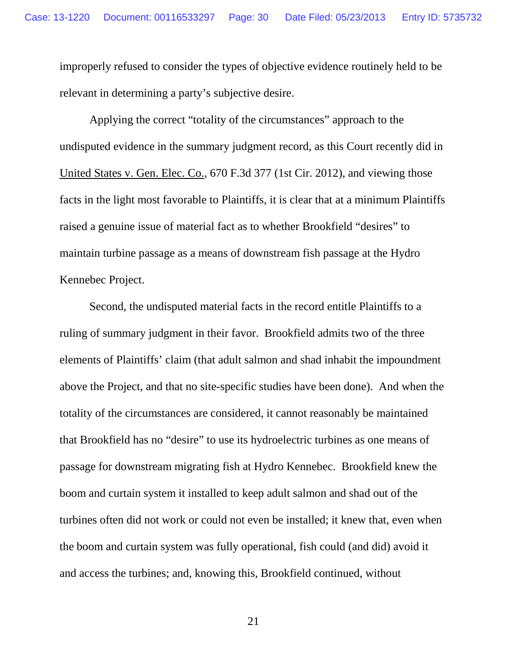improperly refused to consider the types of objective evidence routinely held to be relevant in determining a party's subjective desire.

Applying the correct "totality of the circumstances" approach to the undisputed evidence in the summary judgment record, as this Court recently did in United States v. Gen. Elec. Co., 670 F.3d 377 (1st Cir. 2012), and viewing those facts in the light most favorable to Plaintiffs, it is clear that at a minimum Plaintiffs raised a genuine issue of material fact as to whether Brookfield "desires" to maintain turbine passage as a means of downstream fish passage at the Hydro Kennebec Project.

Second, the undisputed material facts in the record entitle Plaintiffs to a ruling of summary judgment in their favor. Brookfield admits two of the three elements of Plaintiffs' claim (that adult salmon and shad inhabit the impoundment above the Project, and that no site-specific studies have been done). And when the totality of the circumstances are considered, it cannot reasonably be maintained that Brookfield has no "desire" to use its hydroelectric turbines as one means of passage for downstream migrating fish at Hydro Kennebec. Brookfield knew the boom and curtain system it installed to keep adult salmon and shad out of the turbines often did not work or could not even be installed; it knew that, even when the boom and curtain system was fully operational, fish could (and did) avoid it and access the turbines; and, knowing this, Brookfield continued, without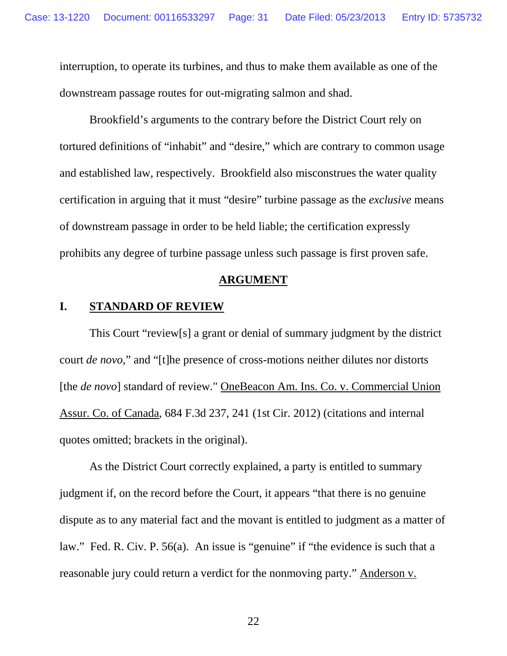interruption, to operate its turbines, and thus to make them available as one of the downstream passage routes for out-migrating salmon and shad.

Brookfield's arguments to the contrary before the District Court rely on tortured definitions of "inhabit" and "desire," which are contrary to common usage and established law, respectively. Brookfield also misconstrues the water quality certification in arguing that it must "desire" turbine passage as the *exclusive* means of downstream passage in order to be held liable; the certification expressly prohibits any degree of turbine passage unless such passage is first proven safe.

#### **ARGUMENT**

## **I. STANDARD OF REVIEW**

This Court "review[s] a grant or denial of summary judgment by the district court *de novo*," and "[t]he presence of cross-motions neither dilutes nor distorts [the *de novo*] standard of review." OneBeacon Am. Ins. Co. v. Commercial Union Assur. Co. of Canada, 684 F.3d 237, 241 (1st Cir. 2012) (citations and internal quotes omitted; brackets in the original).

As the District Court correctly explained, a party is entitled to summary judgment if, on the record before the Court, it appears "that there is no genuine dispute as to any material fact and the movant is entitled to judgment as a matter of law." Fed. R. Civ. P. 56(a). An issue is "genuine" if "the evidence is such that a reasonable jury could return a verdict for the nonmoving party." Anderson v.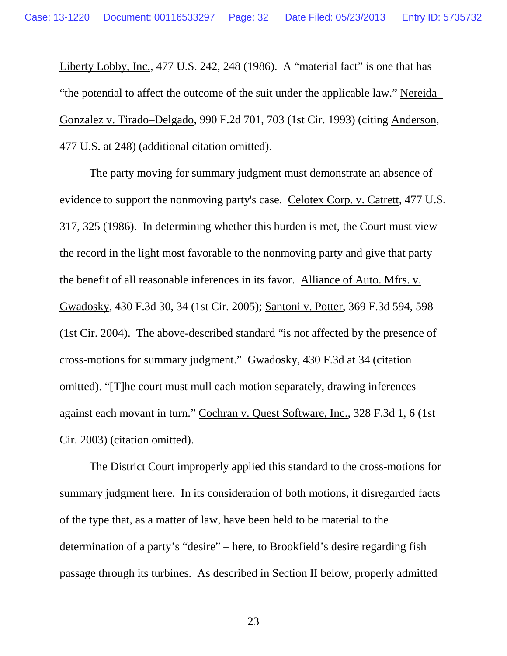Liberty Lobby, Inc., 477 U.S. 242, 248 (1986). A "material fact" is one that has "the potential to affect the outcome of the suit under the applicable law." Nereida– Gonzalez v. Tirado–Delgado, 990 F.2d 701, 703 (1st Cir. 1993) (citing Anderson*,*  477 U.S. at 248) (additional citation omitted).

The party moving for summary judgment must demonstrate an absence of evidence to support the nonmoving party's case. Celotex Corp. v. Catrett*,* 477 U.S. 317, 325 (1986). In determining whether this burden is met, the Court must view the record in the light most favorable to the nonmoving party and give that party the benefit of all reasonable inferences in its favor. Alliance of Auto. Mfrs. v. Gwadosky, 430 F.3d 30, 34 (1st Cir. 2005); Santoni v. Potter, 369 F.3d 594, 598 (1st Cir. 2004). The above-described standard "is not affected by the presence of cross-motions for summary judgment." Gwadosky, 430 F.3d at 34 (citation omitted). "[T]he court must mull each motion separately, drawing inferences against each movant in turn." Cochran v. Quest Software, Inc., 328 F.3d 1, 6 (1st Cir. 2003) (citation omitted).

The District Court improperly applied this standard to the cross-motions for summary judgment here. In its consideration of both motions, it disregarded facts of the type that, as a matter of law, have been held to be material to the determination of a party's "desire" – here, to Brookfield's desire regarding fish passage through its turbines. As described in Section II below, properly admitted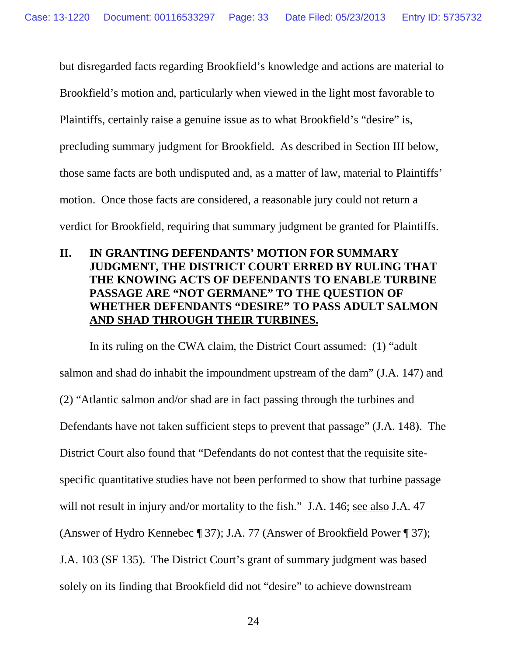but disregarded facts regarding Brookfield's knowledge and actions are material to

Brookfield's motion and, particularly when viewed in the light most favorable to

Plaintiffs, certainly raise a genuine issue as to what Brookfield's "desire" is,

precluding summary judgment for Brookfield. As described in Section III below,

those same facts are both undisputed and, as a matter of law, material to Plaintiffs'

motion. Once those facts are considered, a reasonable jury could not return a

verdict for Brookfield, requiring that summary judgment be granted for Plaintiffs.

## **II. IN GRANTING DEFENDANTS' MOTION FOR SUMMARY JUDGMENT, THE DISTRICT COURT ERRED BY RULING THAT THE KNOWING ACTS OF DEFENDANTS TO ENABLE TURBINE PASSAGE ARE "NOT GERMANE" TO THE QUESTION OF WHETHER DEFENDANTS "DESIRE" TO PASS ADULT SALMON AND SHAD THROUGH THEIR TURBINES.**

In its ruling on the CWA claim, the District Court assumed: (1) "adult salmon and shad do inhabit the impoundment upstream of the dam" (J.A. 147) and (2) "Atlantic salmon and/or shad are in fact passing through the turbines and Defendants have not taken sufficient steps to prevent that passage" (J.A. 148). The District Court also found that "Defendants do not contest that the requisite sitespecific quantitative studies have not been performed to show that turbine passage will not result in injury and/or mortality to the fish." J.A. 146; see also J.A. 47 (Answer of Hydro Kennebec ¶ 37); J.A. 77 (Answer of Brookfield Power ¶ 37); J.A. 103 (SF 135). The District Court's grant of summary judgment was based solely on its finding that Brookfield did not "desire" to achieve downstream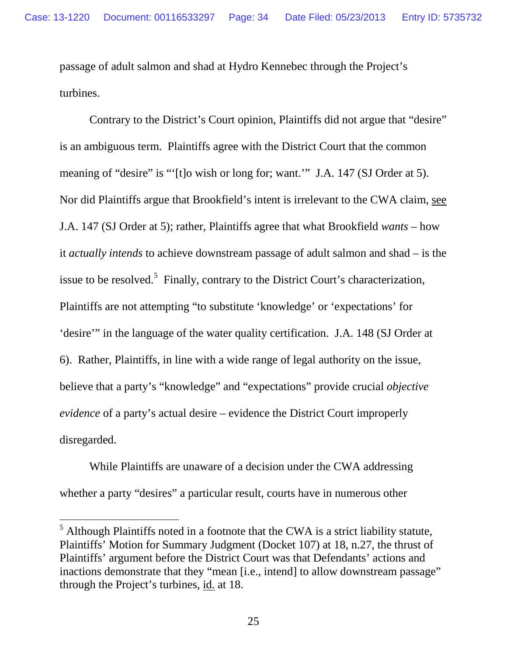passage of adult salmon and shad at Hydro Kennebec through the Project's turbines.

Contrary to the District's Court opinion, Plaintiffs did not argue that "desire" is an ambiguous term. Plaintiffs agree with the District Court that the common meaning of "desire" is "'[t]o wish or long for; want."" J.A. 147 (SJ Order at 5). Nor did Plaintiffs argue that Brookfield's intent is irrelevant to the CWA claim, see J.A. 147 (SJ Order at 5); rather, Plaintiffs agree that what Brookfield *wants* – how it *actually intends* to achieve downstream passage of adult salmon and shad – is the issue to be resolved.<sup>[5](#page-33-0)</sup> Finally, contrary to the District Court's characterization, Plaintiffs are not attempting "to substitute 'knowledge' or 'expectations' for 'desire'" in the language of the water quality certification. J.A. 148 (SJ Order at 6). Rather, Plaintiffs, in line with a wide range of legal authority on the issue, believe that a party's "knowledge" and "expectations" provide crucial *objective evidence* of a party's actual desire – evidence the District Court improperly disregarded.

While Plaintiffs are unaware of a decision under the CWA addressing whether a party "desires" a particular result, courts have in numerous other

<span id="page-33-0"></span> <sup>5</sup> Although Plaintiffs noted in a footnote that the CWA is a strict liability statute, Plaintiffs' Motion for Summary Judgment (Docket 107) at 18, n.27, the thrust of Plaintiffs' argument before the District Court was that Defendants' actions and inactions demonstrate that they "mean [i.e., intend] to allow downstream passage" through the Project's turbines, id. at 18.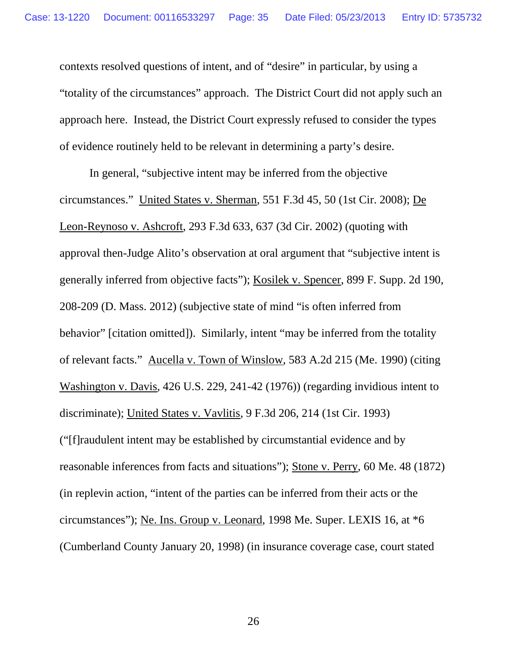contexts resolved questions of intent, and of "desire" in particular, by using a "totality of the circumstances" approach. The District Court did not apply such an approach here. Instead, the District Court expressly refused to consider the types of evidence routinely held to be relevant in determining a party's desire.

In general, "subjective intent may be inferred from the objective circumstances." United States v. Sherman, 551 F.3d 45, 50 (1st Cir. 2008); De Leon-Reynoso v. Ashcroft, 293 F.3d 633, 637 (3d Cir. 2002) (quoting with approval then-Judge Alito's observation at oral argument that "subjective intent is generally inferred from objective facts"); Kosilek v. Spencer, 899 F. Supp. 2d 190, 208-209 (D. Mass. 2012) (subjective state of mind "is often inferred from behavior" [citation omitted]). Similarly, intent "may be inferred from the totality of relevant facts." Aucella v. Town of Winslow, 583 A.2d 215 (Me. 1990) (citing Washington v. Davis*,* 426 U.S. 229, 241-42 (1976)) (regarding invidious intent to discriminate); United States v. Vavlitis, 9 F.3d 206, 214 (1st Cir. 1993) ("[f]raudulent intent may be established by circumstantial evidence and by reasonable inferences from facts and situations"); Stone v. Perry, 60 Me. 48 (1872) (in replevin action, "intent of the parties can be inferred from their acts or the circumstances"); Ne. Ins. Group v. Leonard, 1998 Me. Super. LEXIS 16, at \*6 (Cumberland County January 20, 1998) (in insurance coverage case, court stated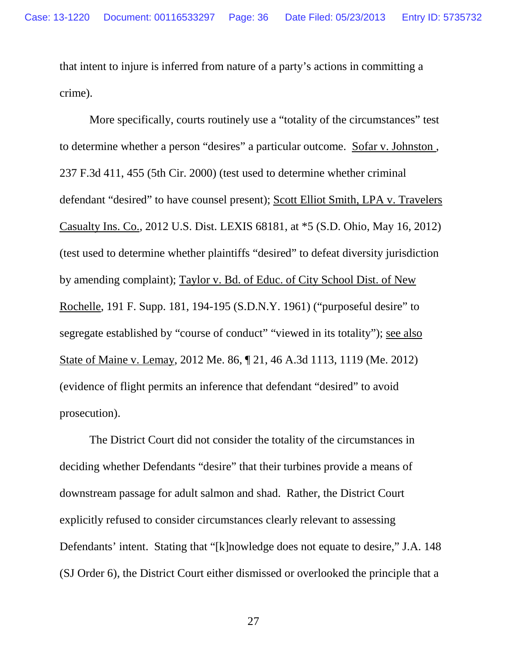that intent to injure is inferred from nature of a party's actions in committing a crime).

More specifically, courts routinely use a "totality of the circumstances" test to determine whether a person "desires" a particular outcome. Sofar v. Johnston , 237 F.3d 411, 455 (5th Cir. 2000) (test used to determine whether criminal defendant "desired" to have counsel present); Scott Elliot Smith, LPA v. Travelers Casualty Ins. Co., 2012 U.S. Dist. LEXIS 68181, at \*5 (S.D. Ohio, May 16, 2012) (test used to determine whether plaintiffs "desired" to defeat diversity jurisdiction by amending complaint); Taylor v. Bd. of Educ. of City School Dist. of New Rochelle, 191 F. Supp. 181, 194-195 (S.D.N.Y. 1961) ("purposeful desire" to segregate established by "course of conduct" "viewed in its totality"); see also State of Maine v. Lemay, 2012 Me. 86, ¶ 21, 46 A.3d 1113, 1119 (Me. 2012) (evidence of flight permits an inference that defendant "desired" to avoid prosecution).

The District Court did not consider the totality of the circumstances in deciding whether Defendants "desire" that their turbines provide a means of downstream passage for adult salmon and shad. Rather, the District Court explicitly refused to consider circumstances clearly relevant to assessing Defendants' intent. Stating that "[k]nowledge does not equate to desire," J.A. 148 (SJ Order 6), the District Court either dismissed or overlooked the principle that a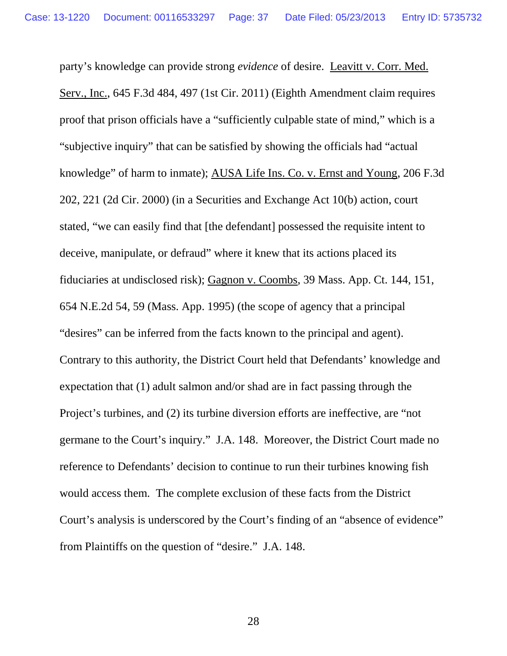party's knowledge can provide strong *evidence* of desire. Leavitt v. Corr. Med. Serv., Inc., 645 F.3d 484, 497 (1st Cir. 2011) (Eighth Amendment claim requires proof that prison officials have a "sufficiently culpable state of mind," which is a "subjective inquiry" that can be satisfied by showing the officials had "actual knowledge" of harm to inmate); AUSA Life Ins. Co. v. Ernst and Young, 206 F.3d 202, 221 (2d Cir. 2000) (in a Securities and Exchange Act 10(b) action, court stated, "we can easily find that [the defendant] possessed the requisite intent to deceive, manipulate, or defraud" where it knew that its actions placed its fiduciaries at undisclosed risk); Gagnon v. Coombs, 39 Mass. App. Ct. 144, 151, 654 N.E.2d 54, 59 (Mass. App. 1995) (the scope of agency that a principal "desires" can be inferred from the facts known to the principal and agent). Contrary to this authority, the District Court held that Defendants' knowledge and expectation that (1) adult salmon and/or shad are in fact passing through the Project's turbines, and (2) its turbine diversion efforts are ineffective, are "not germane to the Court's inquiry." J.A. 148. Moreover, the District Court made no reference to Defendants' decision to continue to run their turbines knowing fish would access them. The complete exclusion of these facts from the District Court's analysis is underscored by the Court's finding of an "absence of evidence" from Plaintiffs on the question of "desire." J.A. 148.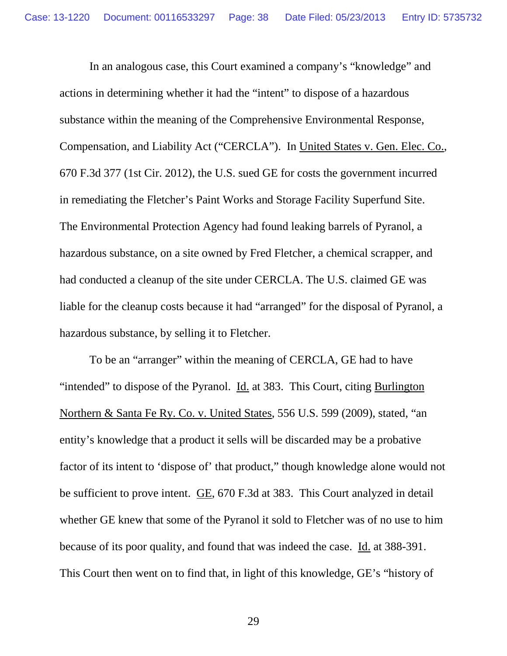In an analogous case, this Court examined a company's "knowledge" and actions in determining whether it had the "intent" to dispose of a hazardous substance within the meaning of the Comprehensive Environmental Response, Compensation, and Liability Act ("CERCLA"). In United States v. Gen. Elec. Co., 670 F.3d 377 (1st Cir. 2012), the U.S. sued GE for costs the government incurred in remediating the Fletcher's Paint Works and Storage Facility Superfund Site. The Environmental Protection Agency had found leaking barrels of Pyranol, a hazardous substance, on a site owned by Fred Fletcher, a chemical scrapper, and had conducted a cleanup of the site under CERCLA. The U.S. claimed GE was liable for the cleanup costs because it had "arranged" for the disposal of Pyranol, a hazardous substance, by selling it to Fletcher.

To be an "arranger" within the meaning of CERCLA, GE had to have "intended" to dispose of the Pyranol. Id. at 383. This Court, citing Burlington Northern & Santa Fe Ry. Co. v. United States, 556 U.S. 599 (2009), stated, "an entity's knowledge that a product it sells will be discarded may be a probative factor of its intent to 'dispose of' that product," though knowledge alone would not be sufficient to prove intent. GE, 670 F.3d at 383. This Court analyzed in detail whether GE knew that some of the Pyranol it sold to Fletcher was of no use to him because of its poor quality, and found that was indeed the case. Id. at 388-391. This Court then went on to find that, in light of this knowledge, GE's "history of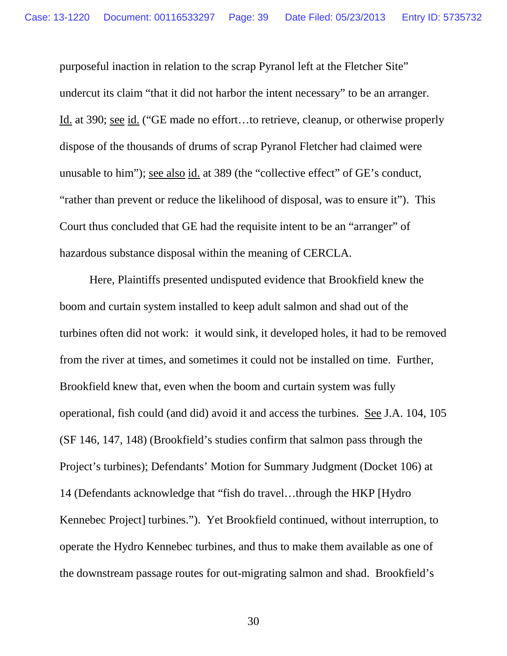purposeful inaction in relation to the scrap Pyranol left at the Fletcher Site" undercut its claim "that it did not harbor the intent necessary" to be an arranger. Id. at 390; see id. ("GE made no effort…to retrieve, cleanup, or otherwise properly dispose of the thousands of drums of scrap Pyranol Fletcher had claimed were unusable to him"); see also id. at 389 (the "collective effect" of GE's conduct, "rather than prevent or reduce the likelihood of disposal, was to ensure it"). This Court thus concluded that GE had the requisite intent to be an "arranger" of hazardous substance disposal within the meaning of CERCLA.

Here, Plaintiffs presented undisputed evidence that Brookfield knew the boom and curtain system installed to keep adult salmon and shad out of the turbines often did not work: it would sink, it developed holes, it had to be removed from the river at times, and sometimes it could not be installed on time. Further, Brookfield knew that, even when the boom and curtain system was fully operational, fish could (and did) avoid it and access the turbines. See J.A. 104, 105 (SF 146, 147, 148) (Brookfield's studies confirm that salmon pass through the Project's turbines); Defendants' Motion for Summary Judgment (Docket 106) at 14 (Defendants acknowledge that "fish do travel…through the HKP [Hydro Kennebec Project] turbines."). Yet Brookfield continued, without interruption, to operate the Hydro Kennebec turbines, and thus to make them available as one of the downstream passage routes for out-migrating salmon and shad. Brookfield's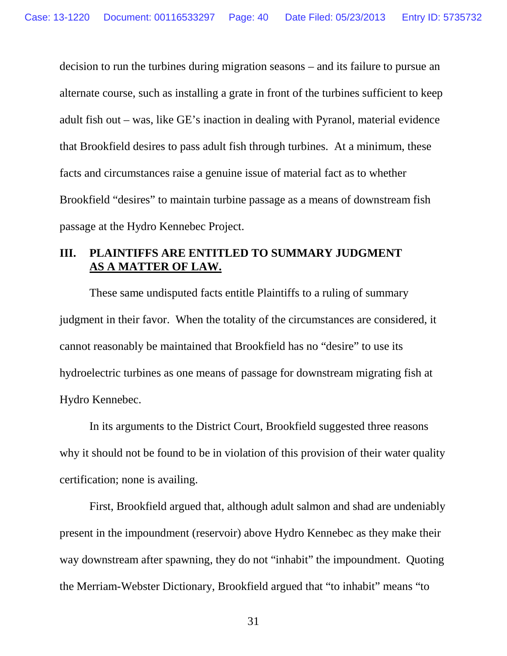decision to run the turbines during migration seasons – and its failure to pursue an alternate course, such as installing a grate in front of the turbines sufficient to keep adult fish out – was, like GE's inaction in dealing with Pyranol, material evidence that Brookfield desires to pass adult fish through turbines. At a minimum, these facts and circumstances raise a genuine issue of material fact as to whether Brookfield "desires" to maintain turbine passage as a means of downstream fish passage at the Hydro Kennebec Project.

## **III. PLAINTIFFS ARE ENTITLED TO SUMMARY JUDGMENT AS A MATTER OF LAW.**

These same undisputed facts entitle Plaintiffs to a ruling of summary judgment in their favor. When the totality of the circumstances are considered, it cannot reasonably be maintained that Brookfield has no "desire" to use its hydroelectric turbines as one means of passage for downstream migrating fish at Hydro Kennebec.

In its arguments to the District Court, Brookfield suggested three reasons why it should not be found to be in violation of this provision of their water quality certification; none is availing.

First, Brookfield argued that, although adult salmon and shad are undeniably present in the impoundment (reservoir) above Hydro Kennebec as they make their way downstream after spawning, they do not "inhabit" the impoundment. Quoting the Merriam-Webster Dictionary, Brookfield argued that "to inhabit" means "to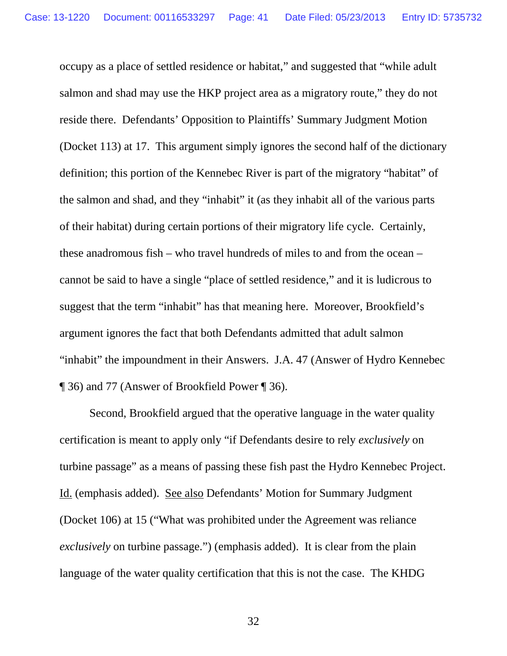occupy as a place of settled residence or habitat," and suggested that "while adult salmon and shad may use the HKP project area as a migratory route," they do not reside there. Defendants' Opposition to Plaintiffs' Summary Judgment Motion (Docket 113) at 17. This argument simply ignores the second half of the dictionary definition; this portion of the Kennebec River is part of the migratory "habitat" of the salmon and shad, and they "inhabit" it (as they inhabit all of the various parts of their habitat) during certain portions of their migratory life cycle. Certainly, these anadromous fish – who travel hundreds of miles to and from the ocean – cannot be said to have a single "place of settled residence," and it is ludicrous to suggest that the term "inhabit" has that meaning here. Moreover, Brookfield's argument ignores the fact that both Defendants admitted that adult salmon "inhabit" the impoundment in their Answers. J.A. 47 (Answer of Hydro Kennebec ¶ 36) and 77 (Answer of Brookfield Power ¶ 36).

Second, Brookfield argued that the operative language in the water quality certification is meant to apply only "if Defendants desire to rely *exclusively* on turbine passage" as a means of passing these fish past the Hydro Kennebec Project. Id. (emphasis added). See also Defendants' Motion for Summary Judgment (Docket 106) at 15 ("What was prohibited under the Agreement was reliance *exclusively* on turbine passage.") (emphasis added). It is clear from the plain language of the water quality certification that this is not the case. The KHDG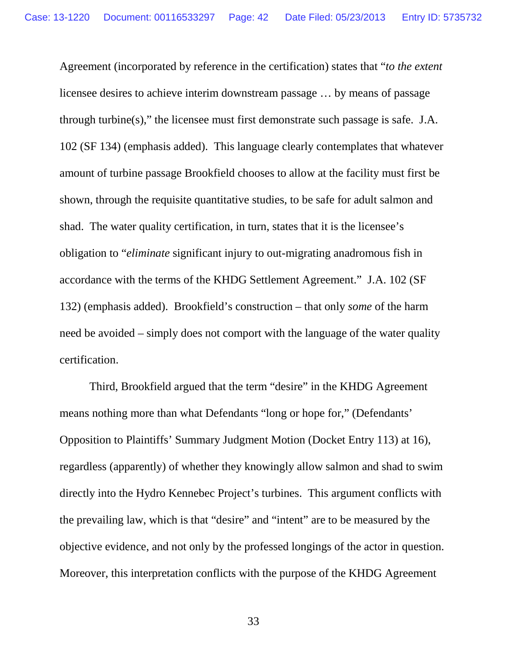Agreement (incorporated by reference in the certification) states that "*to the extent*  licensee desires to achieve interim downstream passage … by means of passage through turbine(s)," the licensee must first demonstrate such passage is safe. J.A. 102 (SF 134) (emphasis added). This language clearly contemplates that whatever amount of turbine passage Brookfield chooses to allow at the facility must first be shown, through the requisite quantitative studies, to be safe for adult salmon and shad. The water quality certification, in turn, states that it is the licensee's obligation to "*eliminate* significant injury to out-migrating anadromous fish in accordance with the terms of the KHDG Settlement Agreement." J.A. 102 (SF 132) (emphasis added). Brookfield's construction – that only *some* of the harm need be avoided – simply does not comport with the language of the water quality certification.

Third, Brookfield argued that the term "desire" in the KHDG Agreement means nothing more than what Defendants "long or hope for," (Defendants' Opposition to Plaintiffs' Summary Judgment Motion (Docket Entry 113) at 16), regardless (apparently) of whether they knowingly allow salmon and shad to swim directly into the Hydro Kennebec Project's turbines. This argument conflicts with the prevailing law, which is that "desire" and "intent" are to be measured by the objective evidence, and not only by the professed longings of the actor in question. Moreover, this interpretation conflicts with the purpose of the KHDG Agreement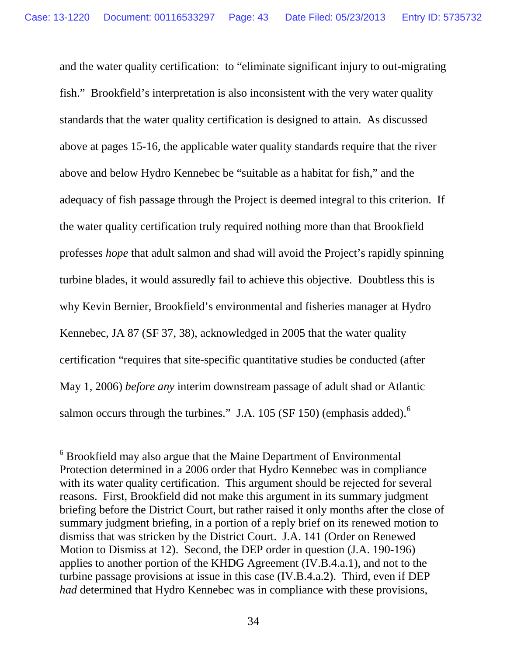and the water quality certification: to "eliminate significant injury to out-migrating fish." Brookfield's interpretation is also inconsistent with the very water quality standards that the water quality certification is designed to attain. As discussed above at pages 15-16, the applicable water quality standards require that the river above and below Hydro Kennebec be "suitable as a habitat for fish," and the adequacy of fish passage through the Project is deemed integral to this criterion. If the water quality certification truly required nothing more than that Brookfield professes *hope* that adult salmon and shad will avoid the Project's rapidly spinning turbine blades, it would assuredly fail to achieve this objective. Doubtless this is why Kevin Bernier, Brookfield's environmental and fisheries manager at Hydro Kennebec, JA 87 (SF 37, 38), acknowledged in 2005 that the water quality certification "requires that site-specific quantitative studies be conducted (after May 1, 2006) *before any* interim downstream passage of adult shad or Atlantic salmon occurs through the turbines." J.A. 105 (SF 150) (emphasis added).<sup>[6](#page-42-0)</sup>

<span id="page-42-0"></span> <sup>6</sup> Brookfield may also argue that the Maine Department of Environmental Protection determined in a 2006 order that Hydro Kennebec was in compliance with its water quality certification. This argument should be rejected for several reasons. First, Brookfield did not make this argument in its summary judgment briefing before the District Court, but rather raised it only months after the close of summary judgment briefing, in a portion of a reply brief on its renewed motion to dismiss that was stricken by the District Court. J.A. 141 (Order on Renewed Motion to Dismiss at 12). Second, the DEP order in question (J.A. 190-196) applies to another portion of the KHDG Agreement (IV.B.4.a.1), and not to the turbine passage provisions at issue in this case (IV.B.4.a.2). Third, even if DEP *had* determined that Hydro Kennebec was in compliance with these provisions,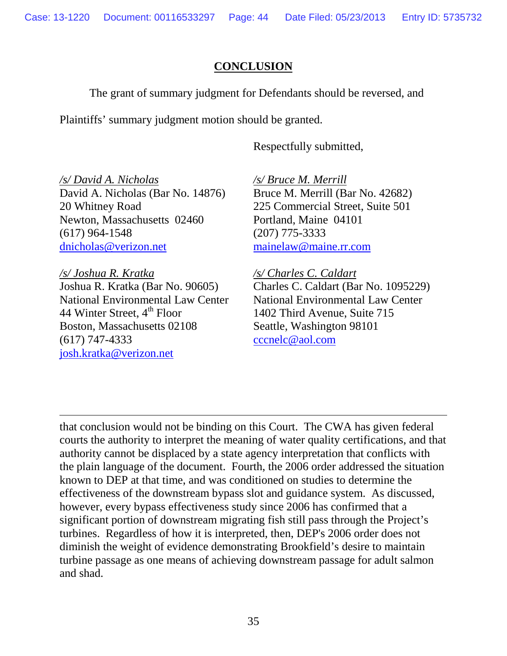## **CONCLUSION**

The grant of summary judgment for Defendants should be reversed, and

Plaintiffs' summary judgment motion should be granted.

Respectfully submitted,

*/s/ David A. Nicholas* David A. Nicholas (Bar No. 14876) 20 Whitney Road Newton, Massachusetts 02460 (617) 964-1548 [dnicholas@verizon.net](mailto:dnicholas@verizon.net)

*/s/ Joshua R. Kratka* Joshua R. Kratka (Bar No. 90605) National Environmental Law Center 44 Winter Street,  $4<sup>th</sup>$  Floor Boston, Massachusetts 02108 (617) 747-4333 [josh.kratka@verizon.net](mailto:josh.kratka@verizon.net)

 $\overline{a}$ 

*/s/ Bruce M. Merrill* Bruce M. Merrill (Bar No. 42682) 225 Commercial Street, Suite 501 Portland, Maine 04101 (207) 775-3333 [mainelaw@maine.rr.com](mailto:mainelaw@maine.rr.com)

*/s/ Charles C. Caldart* Charles C. Caldart (Bar No. 1095229) National Environmental Law Center 1402 Third Avenue, Suite 715 Seattle, Washington 98101 [cccnelc@aol.com](mailto:cccnelc@aol.com)

that conclusion would not be binding on this Court. The CWA has given federal courts the authority to interpret the meaning of water quality certifications, and that authority cannot be displaced by a state agency interpretation that conflicts with the plain language of the document. Fourth, the 2006 order addressed the situation known to DEP at that time, and was conditioned on studies to determine the effectiveness of the downstream bypass slot and guidance system. As discussed, however, every bypass effectiveness study since 2006 has confirmed that a significant portion of downstream migrating fish still pass through the Project's turbines. Regardless of how it is interpreted, then, DEP's 2006 order does not diminish the weight of evidence demonstrating Brookfield's desire to maintain turbine passage as one means of achieving downstream passage for adult salmon and shad.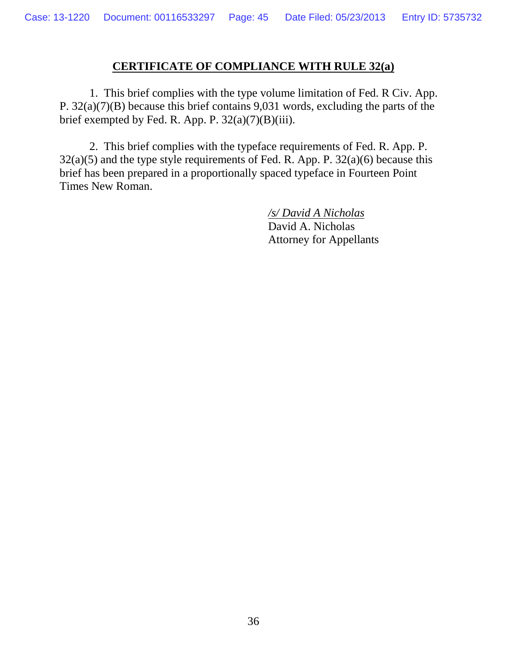## **CERTIFICATE OF COMPLIANCE WITH RULE 32(a)**

1. This brief complies with the type volume limitation of Fed. R Civ. App. P. 32(a)(7)(B) because this brief contains 9,031 words, excluding the parts of the brief exempted by Fed. R. App. P.  $32(a)(7)(B)(iii)$ .

2. This brief complies with the typeface requirements of Fed. R. App. P.  $32(a)(5)$  and the type style requirements of Fed. R. App. P.  $32(a)(6)$  because this brief has been prepared in a proportionally spaced typeface in Fourteen Point Times New Roman.

> */s/ David A Nicholas* David A. Nicholas Attorney for Appellants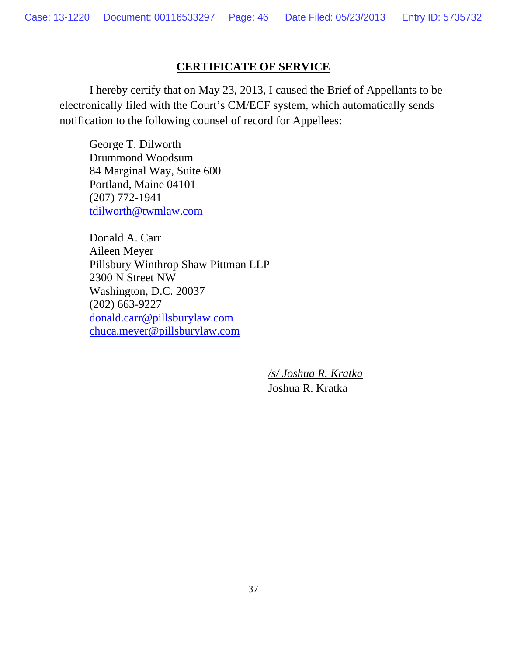## **CERTIFICATE OF SERVICE**

 I hereby certify that on May 23, 2013, I caused the Brief of Appellants to be electronically filed with the Court's CM/ECF system, which automatically sends notification to the following counsel of record for Appellees:

George T. Dilworth Drummond Woodsum 84 Marginal Way, Suite 600 Portland, Maine 04101 (207) 772-1941 tdilworth@twmlaw.com

Donald A. Carr Aileen Meyer Pillsbury Winthrop Shaw Pittman LLP 2300 N Street NW Washington, D.C. 20037 (202) 663-9227 donald.carr@pillsburylaw.com chuca.meyer@pillsburylaw.com

> */s/ Joshua R. Kratka* Joshua R. Kratka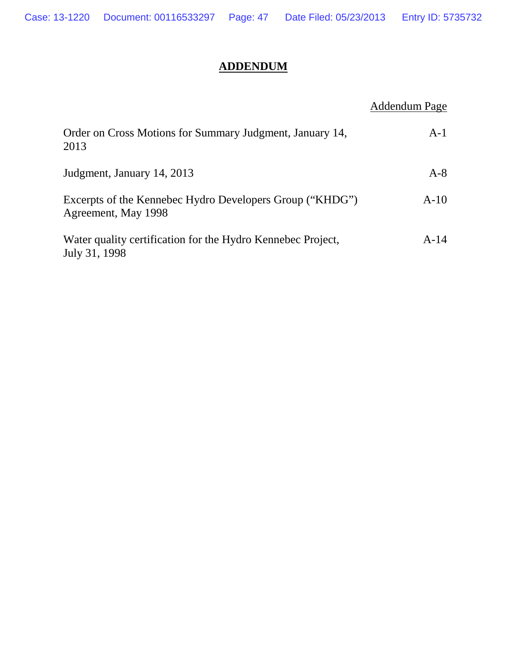## **ADDENDUM**

## Addendum Page

| Order on Cross Motions for Summary Judgment, January 14,<br>2013                | $A-1$  |
|---------------------------------------------------------------------------------|--------|
| Judgment, January 14, 2013                                                      | $A-8$  |
| Excerpts of the Kennebec Hydro Developers Group ("KHDG")<br>Agreement, May 1998 | $A-10$ |
| Water quality certification for the Hydro Kennebec Project,<br>July 31, 1998    | $A-14$ |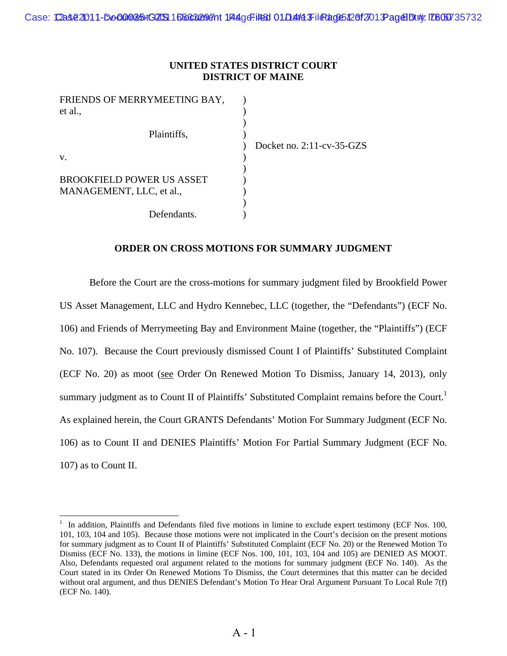#### **UNITED STATES DISTRICT COURT DISTRICT OF MAINE**

| Docket no. $2:11$ -cv-35-GZS |
|------------------------------|
|                              |
|                              |
|                              |
|                              |
|                              |
|                              |
|                              |

#### **ORDER ON CROSS MOTIONS FOR SUMMARY JUDGMENT**

Before the Court are the cross-motions for summary judgment filed by Brookfield Power US Asset Management, LLC and Hydro Kennebec, LLC (together, the "Defendants") (ECF No. 106) and Friends of Merrymeeting Bay and Environment Maine (together, the "Plaintiffs") (ECF No. 107). Because the Court previously dismissed Count I of Plaintiffs' Substituted Complaint (ECF No. 20) as moot (see Order On Renewed Motion To Dismiss, January 14, 2013), only summary judgment as to Count II of Plaintiffs' Substituted Complaint remains before the Court.<sup>1</sup> As explained herein, the Court GRANTS Defendants' Motion For Summary Judgment (ECF No. 106) as to Count II and DENIES Plaintiffs' Motion For Partial Summary Judgment (ECF No. 107) as to Count II.

<sup>&</sup>lt;sup>1</sup> In addition, Plaintiffs and Defendants filed five motions in limine to exclude expert testimony (ECF Nos. 100, 101, 103, 104 and 105). Because those motions were not implicated in the Court's decision on the present motions for summary judgment as to Count II of Plaintiffs' Substituted Complaint (ECF No. 20) or the Renewed Motion To Dismiss (ECF No. 133), the motions in limine (ECF Nos. 100, 101, 103, 104 and 105) are DENIED AS MOOT. Also, Defendants requested oral argument related to the motions for summary judgment (ECF No. 140). As the Court stated in its Order On Renewed Motions To Dismiss, the Court determines that this matter can be decided without oral argument, and thus DENIES Defendant's Motion To Hear Oral Argument Pursuant To Local Rule 7(f) (ECF No. 140).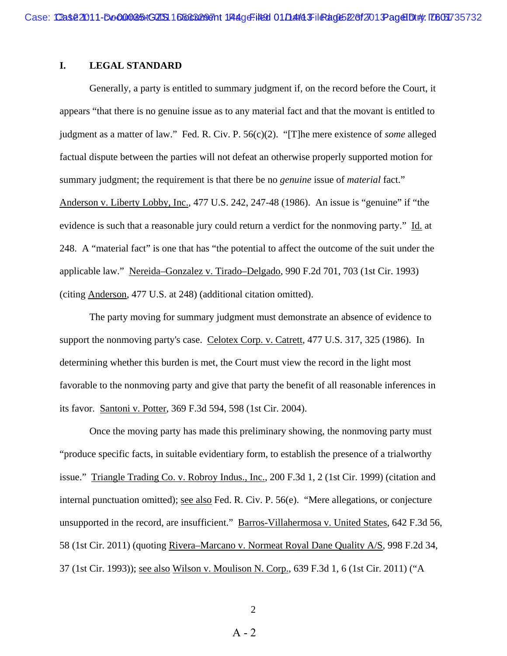#### **I. LEGAL STANDARD**

 Generally, a party is entitled to summary judgment if, on the record before the Court, it appears "that there is no genuine issue as to any material fact and that the movant is entitled to judgment as a matter of law." Fed. R. Civ. P. 56(c)(2). "[T]he mere existence of *some* alleged factual dispute between the parties will not defeat an otherwise properly supported motion for summary judgment; the requirement is that there be no *genuine* issue of *material* fact." Anderson v. Liberty Lobby, Inc., 477 U.S. 242, 247-48 (1986). An issue is "genuine" if "the evidence is such that a reasonable jury could return a verdict for the nonmoving party." Id. at 248. A "material fact" is one that has "the potential to affect the outcome of the suit under the applicable law." Nereida–Gonzalez v. Tirado–Delgado, 990 F.2d 701, 703 (1st Cir. 1993) (citing Anderson*,* 477 U.S. at 248) (additional citation omitted).

 The party moving for summary judgment must demonstrate an absence of evidence to support the nonmoving party's case. Celotex Corp. v. Catrett*,* 477 U.S. 317, 325 (1986). In determining whether this burden is met, the Court must view the record in the light most favorable to the nonmoving party and give that party the benefit of all reasonable inferences in its favor. Santoni v. Potter, 369 F.3d 594, 598 (1st Cir. 2004).

 Once the moving party has made this preliminary showing, the nonmoving party must "produce specific facts, in suitable evidentiary form, to establish the presence of a trialworthy issue." Triangle Trading Co. v. Robroy Indus., Inc., 200 F.3d 1, 2 (1st Cir. 1999) (citation and internal punctuation omitted); see also Fed. R. Civ. P. 56(e). "Mere allegations, or conjecture unsupported in the record, are insufficient." Barros-Villahermosa v. United States, 642 F.3d 56, 58 (1st Cir. 2011) (quoting Rivera–Marcano v. Normeat Royal Dane Quality A/S, 998 F.2d 34, 37 (1st Cir. 1993)); see also Wilson v. Moulison N. Corp., 639 F.3d 1, 6 (1st Cir. 2011) ("A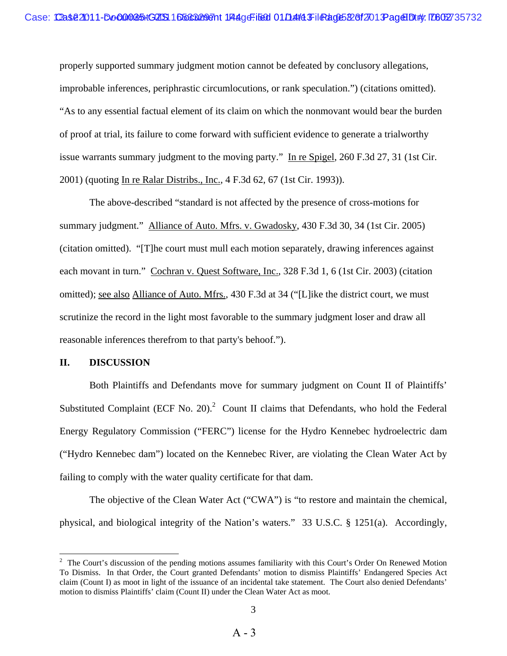properly supported summary judgment motion cannot be defeated by conclusory allegations, improbable inferences, periphrastic circumlocutions, or rank speculation.") (citations omitted). "As to any essential factual element of its claim on which the nonmovant would bear the burden of proof at trial, its failure to come forward with sufficient evidence to generate a trialworthy issue warrants summary judgment to the moving party." In re Spigel, 260 F.3d 27, 31 (1st Cir. 2001) (quoting In re Ralar Distribs., Inc., 4 F.3d 62, 67 (1st Cir. 1993)).

 The above-described "standard is not affected by the presence of cross-motions for summary judgment." Alliance of Auto. Mfrs. v. Gwadosky, 430 F.3d 30, 34 (1st Cir. 2005) (citation omitted). "[T]he court must mull each motion separately, drawing inferences against each movant in turn." Cochran v. Quest Software, Inc., 328 F.3d 1, 6 (1st Cir. 2003) (citation omitted); see also Alliance of Auto. Mfrs., 430 F.3d at 34 ("[L]ike the district court, we must scrutinize the record in the light most favorable to the summary judgment loser and draw all reasonable inferences therefrom to that party's behoof.").

#### **II. DISCUSSION**

 Both Plaintiffs and Defendants move for summary judgment on Count II of Plaintiffs' Substituted Complaint (ECF No. 20). $^2$  Count II claims that Defendants, who hold the Federal Energy Regulatory Commission ("FERC") license for the Hydro Kennebec hydroelectric dam ("Hydro Kennebec dam") located on the Kennebec River, are violating the Clean Water Act by failing to comply with the water quality certificate for that dam.

 The objective of the Clean Water Act ("CWA") is "to restore and maintain the chemical, physical, and biological integrity of the Nation's waters." 33 U.S.C. § 1251(a). Accordingly,

<sup>&</sup>lt;sup>2</sup> The Court's discussion of the pending motions assumes familiarity with this Court's Order On Renewed Motion To Dismiss. In that Order, the Court granted Defendants' motion to dismiss Plaintiffs' Endangered Species Act claim (Count I) as moot in light of the issuance of an incidental take statement. The Court also denied Defendants' motion to dismiss Plaintiffs' claim (Count II) under the Clean Water Act as moot.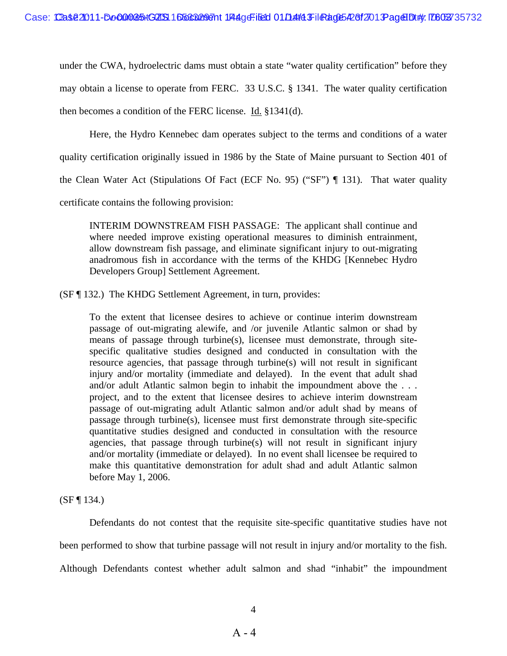under the CWA, hydroelectric dams must obtain a state "water quality certification" before they may obtain a license to operate from FERC. 33 U.S.C. § 1341. The water quality certification then becomes a condition of the FERC license. Id. §1341(d).

 Here, the Hydro Kennebec dam operates subject to the terms and conditions of a water quality certification originally issued in 1986 by the State of Maine pursuant to Section 401 of the Clean Water Act (Stipulations Of Fact (ECF No. 95) ("SF") ¶ 131). That water quality certificate contains the following provision:

INTERIM DOWNSTREAM FISH PASSAGE: The applicant shall continue and where needed improve existing operational measures to diminish entrainment, allow downstream fish passage, and eliminate significant injury to out-migrating anadromous fish in accordance with the terms of the KHDG [Kennebec Hydro Developers Group] Settlement Agreement.

(SF ¶ 132.) The KHDG Settlement Agreement, in turn, provides:

To the extent that licensee desires to achieve or continue interim downstream passage of out-migrating alewife, and /or juvenile Atlantic salmon or shad by means of passage through turbine(s), licensee must demonstrate, through sitespecific qualitative studies designed and conducted in consultation with the resource agencies, that passage through turbine(s) will not result in significant injury and/or mortality (immediate and delayed). In the event that adult shad and/or adult Atlantic salmon begin to inhabit the impoundment above the . . . project, and to the extent that licensee desires to achieve interim downstream passage of out-migrating adult Atlantic salmon and/or adult shad by means of passage through turbine(s), licensee must first demonstrate through site-specific quantitative studies designed and conducted in consultation with the resource agencies, that passage through turbine(s) will not result in significant injury and/or mortality (immediate or delayed). In no event shall licensee be required to make this quantitative demonstration for adult shad and adult Atlantic salmon before May 1, 2006.

 $(SF \, \P \, 134.)$ 

 Defendants do not contest that the requisite site-specific quantitative studies have not been performed to show that turbine passage will not result in injury and/or mortality to the fish. Although Defendants contest whether adult salmon and shad "inhabit" the impoundment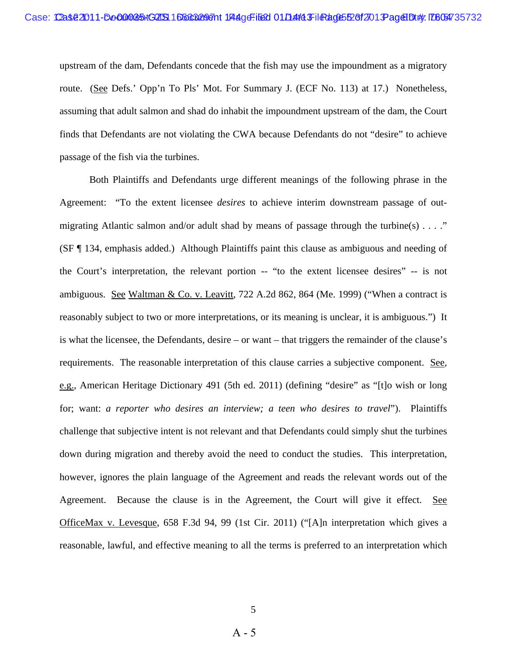upstream of the dam, Defendants concede that the fish may use the impoundment as a migratory route. (See Defs.' Opp'n To Pls' Mot. For Summary J. (ECF No. 113) at 17.) Nonetheless, assuming that adult salmon and shad do inhabit the impoundment upstream of the dam, the Court finds that Defendants are not violating the CWA because Defendants do not "desire" to achieve passage of the fish via the turbines.

 Both Plaintiffs and Defendants urge different meanings of the following phrase in the Agreement: "To the extent licensee *desires* to achieve interim downstream passage of outmigrating Atlantic salmon and/or adult shad by means of passage through the turbine(s)  $\dots$ ." (SF ¶ 134, emphasis added.) Although Plaintiffs paint this clause as ambiguous and needing of the Court's interpretation, the relevant portion -- "to the extent licensee desires" -- is not ambiguous. See Waltman & Co. v. Leavitt, 722 A.2d 862, 864 (Me. 1999) ("When a contract is reasonably subject to two or more interpretations, or its meaning is unclear, it is ambiguous.") It is what the licensee, the Defendants, desire – or want – that triggers the remainder of the clause's requirements. The reasonable interpretation of this clause carries a subjective component. See, e.g., American Heritage Dictionary 491 (5th ed. 2011) (defining "desire" as "[t]o wish or long for; want: *a reporter who desires an interview; a teen who desires to travel*"). Plaintiffs challenge that subjective intent is not relevant and that Defendants could simply shut the turbines down during migration and thereby avoid the need to conduct the studies. This interpretation, however, ignores the plain language of the Agreement and reads the relevant words out of the Agreement. Because the clause is in the Agreement, the Court will give it effect. See OfficeMax v. Levesque, 658 F.3d 94, 99 (1st Cir. 2011) ("[A]n interpretation which gives a reasonable, lawful, and effective meaning to all the terms is preferred to an interpretation which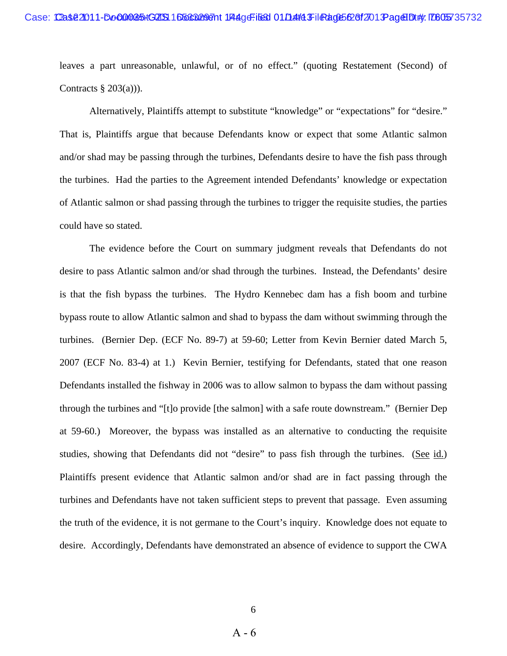leaves a part unreasonable, unlawful, or of no effect." (quoting Restatement (Second) of Contracts  $\S$  203(a))).

 Alternatively, Plaintiffs attempt to substitute "knowledge" or "expectations" for "desire." That is, Plaintiffs argue that because Defendants know or expect that some Atlantic salmon and/or shad may be passing through the turbines, Defendants desire to have the fish pass through the turbines. Had the parties to the Agreement intended Defendants' knowledge or expectation of Atlantic salmon or shad passing through the turbines to trigger the requisite studies, the parties could have so stated.

 The evidence before the Court on summary judgment reveals that Defendants do not desire to pass Atlantic salmon and/or shad through the turbines. Instead, the Defendants' desire is that the fish bypass the turbines. The Hydro Kennebec dam has a fish boom and turbine bypass route to allow Atlantic salmon and shad to bypass the dam without swimming through the turbines. (Bernier Dep. (ECF No. 89-7) at 59-60; Letter from Kevin Bernier dated March 5, 2007 (ECF No. 83-4) at 1.) Kevin Bernier, testifying for Defendants, stated that one reason Defendants installed the fishway in 2006 was to allow salmon to bypass the dam without passing through the turbines and "[t]o provide [the salmon] with a safe route downstream." (Bernier Dep at 59-60.) Moreover, the bypass was installed as an alternative to conducting the requisite studies, showing that Defendants did not "desire" to pass fish through the turbines. (See id.) Plaintiffs present evidence that Atlantic salmon and/or shad are in fact passing through the turbines and Defendants have not taken sufficient steps to prevent that passage. Even assuming the truth of the evidence, it is not germane to the Court's inquiry. Knowledge does not equate to desire. Accordingly, Defendants have demonstrated an absence of evidence to support the CWA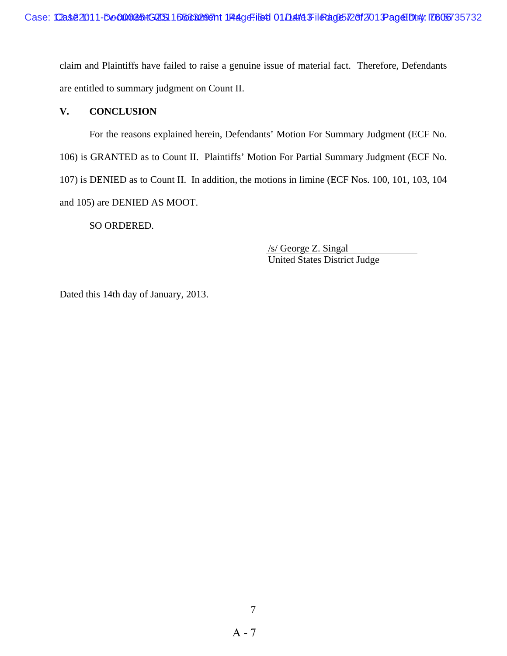claim and Plaintiffs have failed to raise a genuine issue of material fact. Therefore, Defendants are entitled to summary judgment on Count II.

#### **V. CONCLUSION**

 For the reasons explained herein, Defendants' Motion For Summary Judgment (ECF No. 106) is GRANTED as to Count II. Plaintiffs' Motion For Partial Summary Judgment (ECF No. 107) is DENIED as to Count II. In addition, the motions in limine (ECF Nos. 100, 101, 103, 104 and 105) are DENIED AS MOOT.

SO ORDERED.

 /s/ George Z. Singal United States District Judge

Dated this 14th day of January, 2013.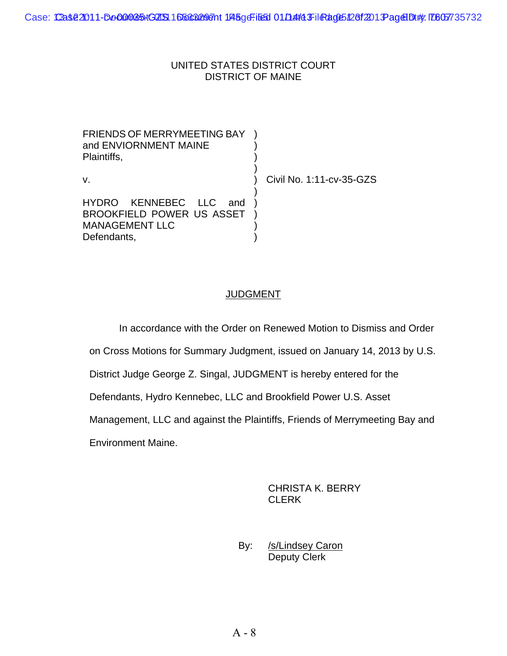### UNITED STATES DISTRICT COURT DISTRICT OF MAINE

FRIENDS OF MERRYMEETING BAY and ENVIORNMENT MAINE ) ) Plaintiffs, )  $)$ v. ) Civil No. 1:11-cv-35-GZS  $)$ HYDRO KENNEBEC LLC and BROOKFIELD POWER US ASSET MANAGEMENT LLC ) ) ) Defendants, (a)

## **JUDGMENT**

In accordance with the Order on Renewed Motion to Dismiss and Order

on Cross Motions for Summary Judgment, issued on January 14, 2013 by U.S.

District Judge George Z. Singal, JUDGMENT is hereby entered for the

Defendants, Hydro Kennebec, LLC and Brookfield Power U.S. Asset

Management, LLC and against the Plaintiffs, Friends of Merrymeeting Bay and

Environment Maine.

CHRISTA K. BERRY **CLERK** 

By: /s/Lindsey Caron Deputy Clerk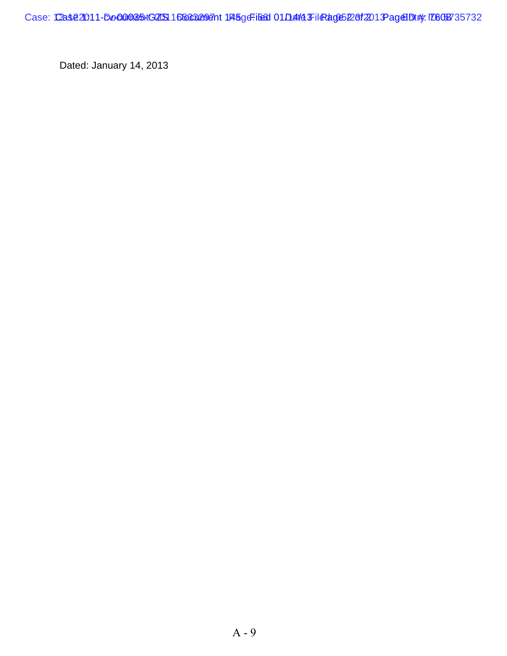Case: Case2011-Do000085+GZIS1 D50632987nt 145geFile6d 01/14/14 FileAdge5228f201 PageHDt#: ID608735732

Dated: January 14, 2013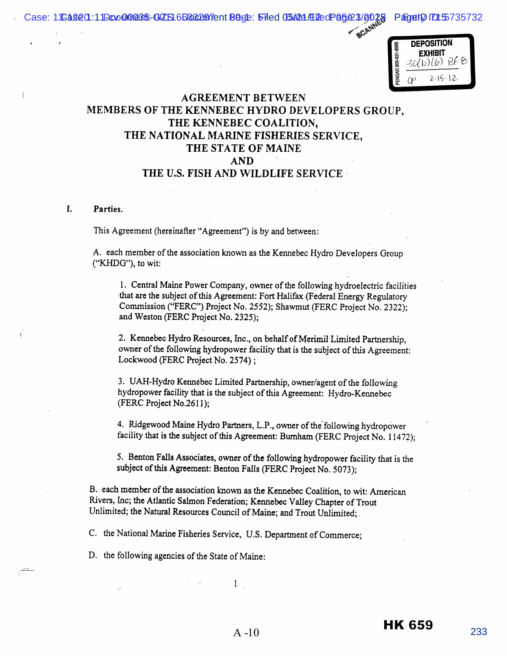Case: 1**:Cas20.11Doc00035: GZS16B88297**ent **B8ge: 51de 05#24/E2edP85(23/9025 PagetDIZ15**735732

**DEPOSITION** ENGAD 800-631-6989 EXHIBIT  $30(b)(b)$  Bf  $\theta$ 

ACAN

 $2 - 15 - 12$ 

## AGREEMENT BETWEEN MEMBERS OF THE KENNEBEC HYDRO DEVELOPERS GROUP, THE KENNEBEC COALITION. THE NATIONAL MARINE FISHERIES SERVICE, THE STATE OF MAINE AND THE U.S. FISH AND WILDLIFE SERVICE

#### L. Parties.

This Agreement (hereinafter "Agreement") is by and between:

A, each member of the association known as the Kennebec Hydro Developers Group ("KHDG"), to wit:

1. Central Maine Power Company, owner of the following hydroelectric facilities that are the subject of this Agreement: Fort Halifax (Federal Energy Regulatory Commission ("FERC") Project No. 2552); Shawmut (FERC Project No. 2322); and Weston (FERC Project No. 2325);

2. Kennebec Hydro Resources, Inc., on behalf of Merimil Limited Partnership, owner of the following hydropower facility that is the subject of this Agreement: Lockwood (FERC Project No. 2574);

3. UAH-Hydro Kennebec Limited Partnership, owner/agent of the following hydropower facility that is the subject of this Agreement: Hydro-Kennebec (FERC Project No.2611);

4. Ridgewood Maine Hydro Partners, L.P., owner of the following hydropower facility that is the subject of this Agreement: Burnham (FERC Project No. 11472);

5. Benton Falls Associates, owner of the following hydropower facility that is the subject of this Agreement: Benton Falls (FERC Project No. 5073);

B. each member of the association known as the Kennebec Coalition, to wit: American Rivers, Inc; the Atlantic Salmon Federation; Kennebec Valley Chapter of Trout Unlimited; the Natural Resources Council of Maine; and Trout Unlimited;.

C, the National Marine Fisheries Service, U.S. Department of Commerce;

D. the following agencies of the State of Maine:

 $A -10$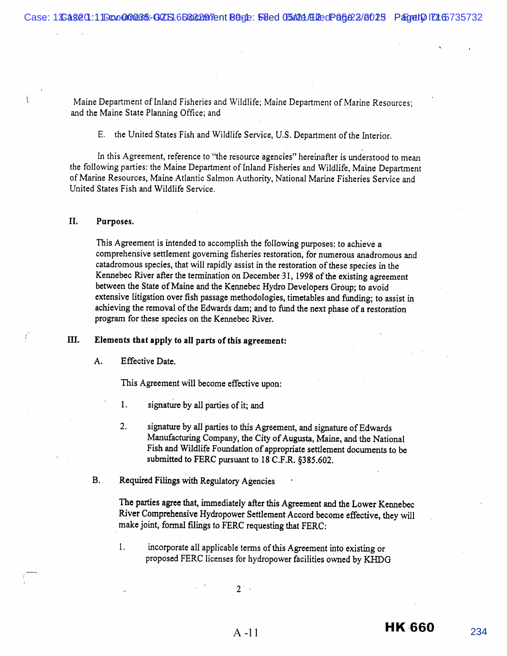Maine Department of Inland Fisheries and Wildlife; Maine Department of Marine Resources; and the Maine State Planning Office; and

E. the United States Fish and Wildlife Service, U.S. Department of the Interior.

In this Agreement, reference to "the resource agencies" hereinafter is understood to mean the following parties: the Maine Department of Inland Fisheries and Wildlife, Maine Department of Marine Resources, Maine Atlantic Salmon Authority, National Marine Fisheries Service and United States Fish and Wildlife Service.

#### II. Purposes.

This Agreement is intended to accomplish the following purposes: to achieve a comprehensive settlement governing fisheries restoration, for numerous anadromous and catadromous species, that will rapidly assist in the restoration of these species in the Kennebec River after the termination on December 31, 1998 of the existing agreement between the State of Maine and the Kennebec Hydro Developers Group; to avoid extensive litigation over fish passage methodologies, timetables and funding; to assist in achieving the removal of the Edwards dam; and to fund the next phase of a restoration program for these species on the Kennebec River,

#### IH. Elements that apply to all parts of this agreement:

#### A. Effective Date.

This Agreement will become effective upon:

- 1. signature by all parties of it; and
- $2.$ signature by all parties to this Agreement, and signature of Edwards Manufacturing Company, the City of Augusta, Maine, and the National Fish and Wildlife Foundation of appropriate settlement documents to be submitted to FERC pursuant to 18 C.F.R. §385.602.
- B.. Required Filings with Regulatory Agencies

The parties agree that, immediately after this Agreement and the Lower Kennebec River Comprehensive Hydropower Settlement Accord become effective, they will make joint, formal filings to FERC requesting that FERC:

 $1.$ incorporate all applicable terms of this Agreement into existing or proposed FERC licenses for hydropower facilities owned by KHDG

 $2^{\degree}$ 

A -11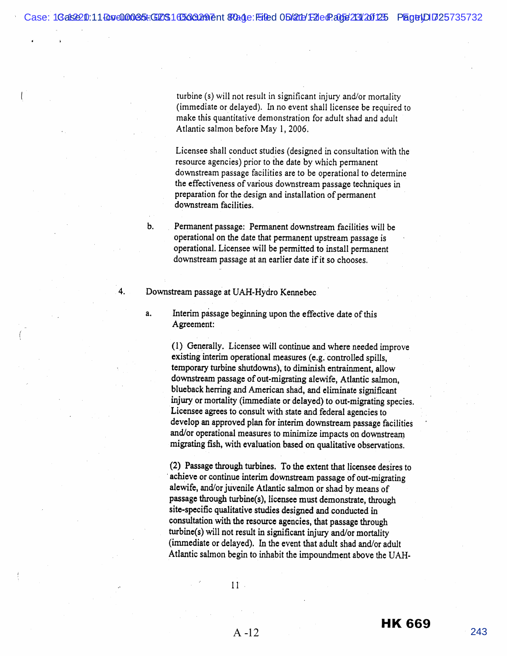Case: 1**Gals220:11 Doc00035t:G2OS1 1136302091** ent 870ade: Filed Obl2011 F21 edP.a05e2321201325 PlagetJD1725735732

turbine (s) will not result in significant injury and/or mortality (immediate or delayed). In no event shall licensee be required to make this quantitative demonstration for adult shad and adult Atlantic salmon before May 1, 2006.

Licensee shall conduct studies (designed in consultation with the resource agencies) prior to the date by which permanent downstream passage facilities are to be operational to determine the effectiveness of various downstream passage techniques in preparation for the design and installation of permanent downstream facilities.

Permanent passage: Permanent downstream facilities will be operational on the date that permanent upstream passage is operational. Licensee will be permitted to install permanent downstream passage at an earlier date if it so chooses.

Downstream passage at UAH-Hydro Kennebec

 $a<sub>1</sub>$ 

 $\overline{4}$ .

 $<sub>b</sub>$ </sub>

Interim passage beginning upon the effective date of this Agreement:

(1) Generally. Licensee will continue and where needed improve existing interim operational measures (e.g. controlled spills, temporary turbine shutdowns}, to diminish entrainment, allow downstream passage of out-migrating alewife, Atlantic salmon, blueback herring and American shad, and eliminate significant injury or mortality (immediate or delayed) to out-migrating species, Licensee agrees to consult with state and federal agencies to develop an approved plan for interim downstream passage facilities and/or operational measures to minimize impacts on downstream migrating Gsh, with evaluation based on qualitative observations.

(2) Passage through turbines. To the extent that licensee desires to achieve or continue interim downstream passage of out-migrating alewife, and/or juvenile Atlantic salmon or shad by means of passage through turbine(s}, licensee must demonstrate, through site-specific qualitative studies designed and conducted in consultation with the resource agencies, that passage through  $turbine(s)$  will not result in significant injury and/or mortality (immediate or delayed). In the event that adult shad and/or adult Atlantic salmon begin to inhabit the impoundment above the UAH-

 $11$ .

 $A - 12$ 

**HK 669**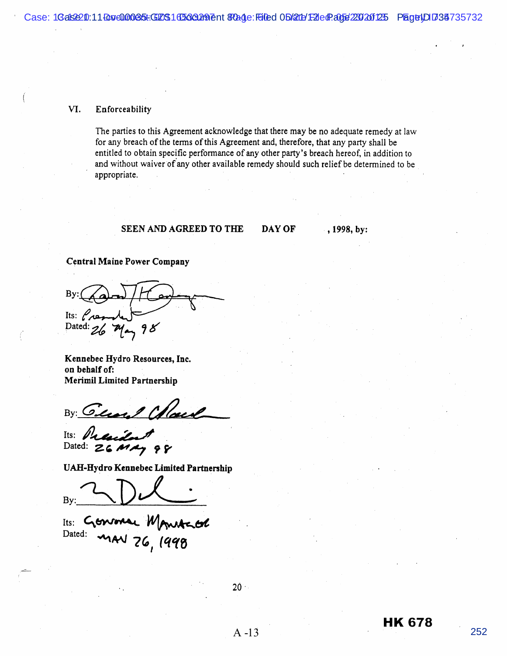#### VI. Enforceability

The parties to this Agreement acknowledge that there may be no adequate remedy at law for any breach of the terms of this Agreement and, therefore, that any party shall be entitled to obtain specific performance of any other party's breach hereof, in addition to and without waiver of any other available remedy should such relief be determined to be appropriate.

#### **SEEN AND AGREED TO THE**

DAY OF

, 1998, by:

#### Central Maine Power Company

B<sub>y</sub> j  $Its: P_{AB}$ Dated:

Kennebec Hydro Resources, Inc, on behalf of: **Merimil Limited Partnership** 

By: General Colored

Its: Prail Dated:  $26$  MAY 98

UAH-Hydro Kennebec Limited Partnership

By:

Genronae Monte Its: LtV Dated:

 $20 -$ 

A -13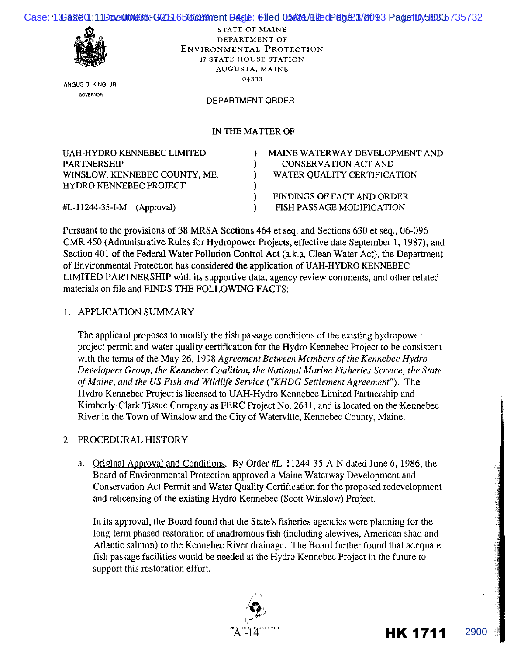|   |                          | Case: 1S2820.11E0c000285-607S16B862197entB46B: 61ed 05624/E2edP85(23/8093 PaderlDv58835735732 |
|---|--------------------------|-----------------------------------------------------------------------------------------------|
|   | STATE OF MAINE           |                                                                                               |
|   | DEPARTMENT OF            |                                                                                               |
| 縫 | ENVIRONMENTAL PROTECTION |                                                                                               |
|   |                          |                                                                                               |

**ANGUS S. KING, JR GOVERNOR** 

17 STATE HOUSE STATION AUGUSTA, MAINE **04333** 

#### DEPARTMENT ORDER

#### IN THE MATTER OF

| MAINE WATERWAY DEVELOPMENT AND   |
|----------------------------------|
| CONSERVATION ACT AND             |
| WATER QUALITY CERTIFICATION      |
|                                  |
| FINDINGS OF FACT AND ORDER       |
| <b>FISH PASSAGE MODIFICATION</b> |
|                                  |

Pursuant to the provisions of 38 MRSA Sections 464 et seq. and Sections 630 et seq., 06-096 CMR 450 (Administrative Rules for Hydropower Projects, effective date September I, 1987), and Section 401 of the Federal Water Pollution Control Act (a.k.a. Clean Water Act), the Department of Environmental Protection has considered the application of UAH-HYDRO KENNEBEC LIMITED PARTNERSHIP with its supportive data, agency review comments, and other related materials on file and FINDS THE FOLLOWING FACTS:

#### I. APPLICATION SUMMARY

The applicant proposes to modify the fish passage conditions of the existing hydropower project permit and water quality certification for the Hydro Kennebec Project to be consistent with the terms of the May 26, 1998 *Agreement Between Members of the Kennebec Hydro Developers Group, the Kennebec Coalition, the National Marine Fisheries Service, the State of Maine, and the US Fish and Wildlife Service ("KHDG Settlement Agreement").* The Hydro Kennebec Project is licensed to UAH-Hydro Kennebec Limited Partnership and Kimberly-Clark Tissue Company as FERC Project No. 2611, and is located on the Kennebec River in the Town of Winslow and the City of Waterville, Kennebec County, Maine.

#### 2. PROCEDURAL HISTORY

a. Original Approval and Conditions. By Order #L-11244-35-A-N dated June 6, 1986, the Board of Environmental Protection approved a Maine Waterway Development and Conservation Act Permit and Water Quality Certification for the proposed redevelopment and relicensing of the existing Hydro Kennebec (Scott Winslow) Project.

In its approval, the Board found that the State's fisheries agencies were planning for the long-term phased restoration of anadromous fish (including alewives, American shad and Atlantic salmon) to the Kennebec River drainage. The Board further found that adequate fish passage facilities would be needed at the Hydro Kennebec Project in the future to support this restoration effort.



II |<br>|<br>|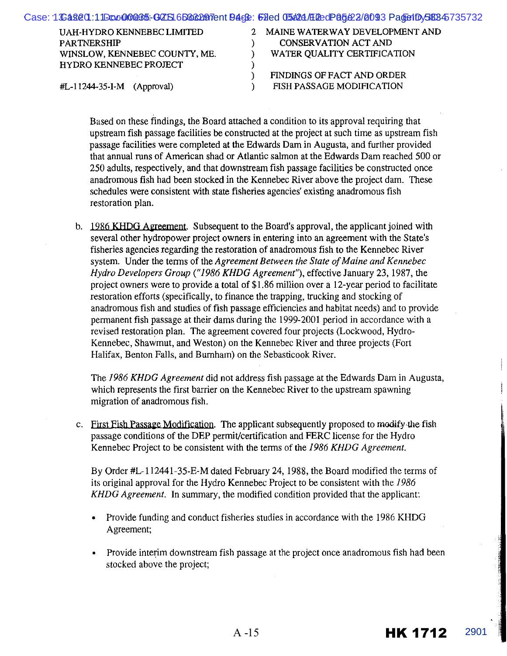|                               | Case: 1S28201:11Box000035-607S16B662017ent946&: 61ed 05624/E12edP85622/8093 Pade1Dy58845735732 |
|-------------------------------|------------------------------------------------------------------------------------------------|
| UAH-HYDRO KENNEBEC LIMITED    | 2 MAINE WATERWAY DEVELOPMENT AND                                                               |
| <b>PARTNERSHIP</b>            | <b>CONSERVATION ACT AND</b>                                                                    |
| WINSLOW, KENNEBEC COUNTY, ME. | WATER QUALITY CERTIFICATION                                                                    |
| HYDRO KENNEBEC PROJECT        |                                                                                                |
|                               | FINDINGS OF FACT AND ORDER                                                                     |
| $#L-11244-35-I-M$ (Approval)  | FISH PASSAGE MODIFICATION                                                                      |
|                               |                                                                                                |

Based on these findings, the Board attached a condition to its approval requiring that upstream fish passage facilities be constructed at the project at such time as upstream fish passage facilities were completed at the Edwards Dam in Augusta, and further provided that annual runs of American shad or Atlantic salmon at the Edwards Dam reached 500 or 250 adults, respectively, and that downstream fish passage facilities be constructed once anadromous fish had been stocked in the Kennebec River above the project dam. These schedules were consistent with state fisheries agencies' existing anadromous fish restoration plan.

b. 1986 KHDG Agreement. Subsequent to the Board's approval, the applicant joined with several other hydropower project owners in entering into an agreement with the State's fisheries agencies regarding the restoration of anadromous fish to the Kennebec River system. Under the terms of the *Agreement Between the State of Maine and Kennebec Hydro Developers Group ("1986 KHDG Agreement"),* effective January 23, 1987, the project owners were to provide a total of \$1.86 million over a 12-year period to facilitate restoration efforts (specifically, to finance the trapping, trucking and stocking of anadromous fish and studies of fish passage efficiencies and habitat needs) and to provide permanent fish passage at their dams during the 1999-2001 period in accordance with a revised restoration plan. The agreement covered four projects (Lockwood, Hydro-Kennebec, Shawmut, and Weston) on the Kennebec River and three projects (Fort Halifax, Benton Falls, and Burnham) on the Sebasticook River.

The *1986 KHDG Agreement* did not address fish passage at the Edwards Dam in Augusta, which represents the first barrier on the Kennebec River to the upstream spawning migration of anadromous fish.

c. First Fish Passage Modification. The applicant subsequently proposed to modify the fish passage conditions of the DEP permit/certification and FERC license for the Hydro Kennebec Project to be consistent with the terms of the 1986 KHDG Agreement.

By Order #L-112441-35-E-M dated February 24, 1988, the Board modified the terms of its original approval for the Hydro Kennebec Project to be consistent with the *1986 KHDG Agreement.* In summary, the modified condition provided that the applicant:

- Provide funding and conduct fisheries studies in accordance with the 1986 KHDG Agreement;
- Provide interim downstream fish passage at the project once anadromous fish had been stocked above the project;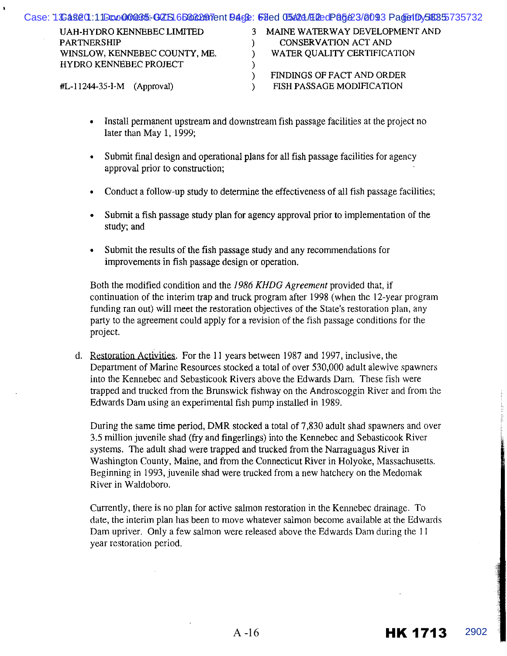| Case: 1S2820.11Exc000885-607S16B&&207TentB46&: 61ed 05624/E2edP85&2/8093 PadetDy58855735732 |                                  |
|---------------------------------------------------------------------------------------------|----------------------------------|
| UAH-HYDRO KENNEBEC LIMITED                                                                  | 3 MAINE WATERWAY DEVELOPMENT AND |
| <b>PARTNERSHIP</b>                                                                          | CONSERVATION ACT AND             |
| WINSLOW, KENNEBEC COUNTY, ME.                                                               | WATER QUALITY CERTIFICATION      |
| HYDRO KENNEBEC PROJECT                                                                      |                                  |
|                                                                                             | FINDINGS OF FACT AND ORDER       |
| $\textsf{\#L-11244-35-I-M}$ (Approval)                                                      | FISH PASSAGE MODIFICATION        |
|                                                                                             |                                  |

- Install permanent upstream and downstream fish passage facilities at the project no later than May 1, 1999;
- Submit final design and operational plans for all fish passage facilities for agency approval prior to construction;
- Conduct a follow-up study to determine the effectiveness of all fish passage facilities;
- Submit a fish passage study plan for agency approval prior to implementation of the study; and
- Submit the results of the fish passage study and any recommendations for improvements in fish passage design or operation.

Both the modified condition and the *1986 KHDG Agreement* provided that, if continuation of the interim trap and truck program after 1998 (when the 12-year program funding ran out) will meet the restoration objectives of the State's restoration plan, any party to the agreement could apply for a revision of the fish passage conditions for the project.

d. Restoration Activities. For the II years between 1987 and 1997, inclusive, the Department of Marine Resources stocked a total of over 530,000 adult alewive spawners into the Kennebec and Sebasticook Rivers above the Edwards Dam. These fish were trapped and trucked from the Brunswick fishway on the Androscoggin River and from the Edwards Dam using an experimental fish pump installed in 1989.

During the same time period, DMR stocked a total of 7,830 adult shad spawners and over 3.5 million juvenile shad (fry and fingerlings) into the Kennebec and Sebasticook River systems. The adult shad were trapped and trucked from the Narraguagus River in Washington County, Maine, and from the Connecticut River in Holyoke, Massachusetts. Beginning in 1993, juvenile shad were trucked from a new hatchery on the Medomak River in Waldoboro.

Currently, there is no plan for active salmon restoration in the Kennebec drainage. To date, the interim plan has been to move whatever salmon become available at the Edwards Dam upriver. Only a few salmon were released above the Edwards Dam during the 11 year restoration period.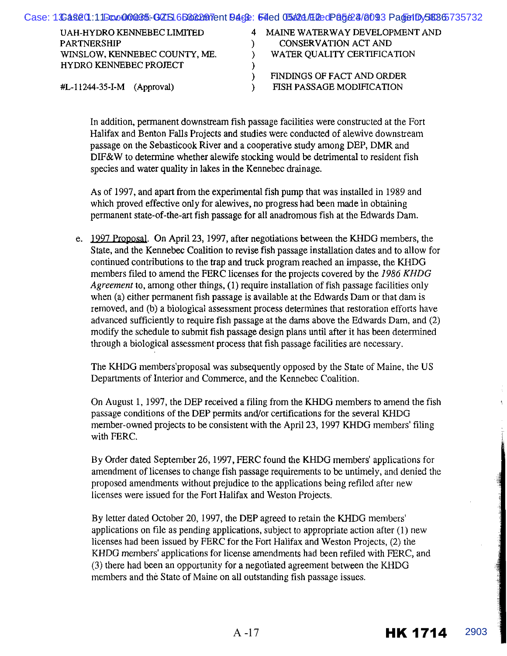| Case: 1Sa820.11Doc00085-GZS16B66207entB4GE: 54ed 05424/E2edP85424/8093 Page1Dy58865735732 |                                                                 |
|-------------------------------------------------------------------------------------------|-----------------------------------------------------------------|
| <b>THEFT THEN DATES HER HOLD CLARATION</b>                                                | A LA TUTTE IT LATER IT LAT A TURNED IN THE LATER AND THE LATER. |

| UAH-HYDRO KENNEBEC LIMITED    | 4 MAINE WATERWAY DEVELOPMENT AND |
|-------------------------------|----------------------------------|
| <b>PARTNERSHIP</b>            | <b>CONSERVATION ACT AND</b>      |
| WINSLOW, KENNEBEC COUNTY, ME. | WATER QUALITY CERTIFICATION      |
| <b>HYDRO KENNEBEC PROJECT</b> |                                  |
|                               | FINDINGS OF FACT AND ORDER       |
| $#L-11244-35-I-M$ (Approval)  | FISH PASSAGE MODIFICATION        |

In addition, pennanent downstream fish passage facilities were constructed at the Fort Halifax and Benton Falls Projects and studies were conducted of alewive downstream passage on the Sebasticook River and a cooperative study among DEP, DMR and DIF&W to determine whether alewife stocking would be detrimental to resident fish species and water quality in lakes in the Kennebec drainage.

As of 1997, and apart from the experimental fish pump that was installed in 1989 and which proved effective only for alewives, no progress had been made in obtaining permanent state-of-the-art fish passage for all anadromous fish at the Edwards Dam.

e. 1997 Proposal. On April 23, 1997, after negotiations between the KHDG members, the State, and the Kennebec Coalition to revise fish passage installation dates and to allow for continued contributions to the trap and truck program reached an impasse, the KHDG members filed to amend the FERC licenses for the projects covered by the *1986 KHDG Agreement* to, among other things, (1) require installation of fish passage facilities only when (a) either permanent fish passage is available at the Edwards Dam or that dam is removed, and (b) a biological assessment process determines that restoration efforts have advanced sufficiently to require fish passage at the dams above the Edwards Dam, and (2) modify the schedule to submit fish passage design plans until after it has been determined through a biological assessment process that fish passage facilities are necessary.

The KHDG members'proposal was subsequently opposed by the State of Maine, the US Departments of Interior and Commerce, and the Kennebec Coalition.

On August 1, !997, the DEP received a filing from the KHDG members to amend the fish passage conditions of the DEP permits and/or certifications for the several KHDG member-owned projects to be consistent with the April23, 1997 KHDG members' filing with FERC.

By Order dated September26, 1997, FERC found the KHDG members' applications for amendment of licenses to change fish passage requirements to be untimely, and denied the proposed amendments without prejudice to the applications being refiled after new licenses were issued for the Fort Halifax and Weston Projects.

By letter dated October 20, 1997, the DEP agreed to retain the KHDG members' applications on file as pending applications, subject to appropriate action after (1) new licenses had been issued by FERC for the Fort Halifax and Weston Projects, (2) the KHDG members' applications for license amendments had been refiled with FERC, and (3) there had been an opportunity for a negotiated agreement between the KHDG members and the State of Maine on all outstanding fish passage issues.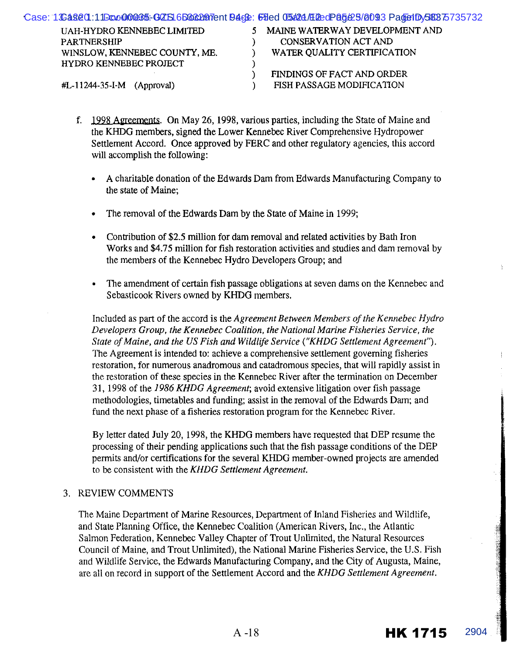| 5 MAINE WATERWAY DEVELOPMENT AND<br>UAH-HYDRO KENNEBEC LIMITED<br>CONSERVATION ACT AND<br><b>PARTNERSHIP</b><br>WATER QUALITY CERTIFICATION<br>WINSLOW, KENNEBEC COUNTY, ME.<br>HYDRO KENNEBEC PROJECT<br>FINDINGS OF FACT AND ORDER<br>FISH PASSAGE MODIFICATION<br>$\text{HL}-11244-35-I-M$ (Approval) | Case: 1S28201:11Boc000885-GZS16B662077ent9468: 69ed 05624/E2edP86625/8093 Pade1Dy58875735732 |  |
|----------------------------------------------------------------------------------------------------------------------------------------------------------------------------------------------------------------------------------------------------------------------------------------------------------|----------------------------------------------------------------------------------------------|--|
|                                                                                                                                                                                                                                                                                                          |                                                                                              |  |
|                                                                                                                                                                                                                                                                                                          |                                                                                              |  |
|                                                                                                                                                                                                                                                                                                          |                                                                                              |  |
|                                                                                                                                                                                                                                                                                                          |                                                                                              |  |
|                                                                                                                                                                                                                                                                                                          |                                                                                              |  |
|                                                                                                                                                                                                                                                                                                          |                                                                                              |  |

- f. 1998 Agreements. On May 26, 1998, various parties, including the State of Maine and the KHDG members, signed the Lower Kennebec River Comprehensive Hydropower Settlement Accord. Once approved by FERC and other regulatory agencies, this accord will accomplish the following:
	- A charitable donation of the Edwards Dam from Edwards Manufacturing Company to the state of Maine;
	- The removal of the Edwards Dam by the State of Maine in 1999;
	- Contribution of \$2.5 million for darn removal and related activities by Bath Iron Works and \$4.75 million for fish restoration activities and studies and dam removal by the members of the Kennebec Hydro Developers Group; and
	- The amendment of certain fish passage obligations at seven dams on the Kennebec and Sebasticook Rivers owned by KHDG members.

Included as part of the accord is the *Agreement Between Members of the Kennebec Hydro Developers Group, the Kennebec Coalition, the National Marine Fisheries Service, the State of Maine, and the US Fish and Wildlife Service ("KHDG Settlement Agreement").*  The Agreement is intended to: achieve a comprehensive settlement governing fisheries restoration, for numerous anadromous and catadromous species, that will rapidly assist in the restoration of these species in the Kennebec River after the termination on December 31, 1998 of the *1986 KHDG Agreement;* avoid extensive litigation over fish passage methodologies, timetables and funding; assist in the removal of the Edwards Dam; and fund the next phase of a fisheries restoration program for the Kennebec River.

By letter dated July 20, 1998, the KHDG members have requested that DEP resume the processing of their pending applications such that the fish passage conditions of the DEP permits and/or certifications for the several KHDG member-owned projects are amended to be consistent with the *KHDG Settlement Agreement.* 

#### 3. REVIEW COMMENTS

The Maine Department of Marine Resources, Department of Inland Fisheries and Wildlife, and State Planning Office, the Kennebec Coalition (American Rivers, Inc., the Atlantic Salmon Federation, Kennebec Valley Chapter of Trout Unlimited, the Natural Resources Council of Maine, and Trout Unlimited), the National Marine Fisheries Service, the U.S. Fish and Wildlife Service, the Edwards Manufacturing Company, and the City of Augusta, Maine, are all on record in support of the Settlement Accord and the *KHDG Settlement Agreement.*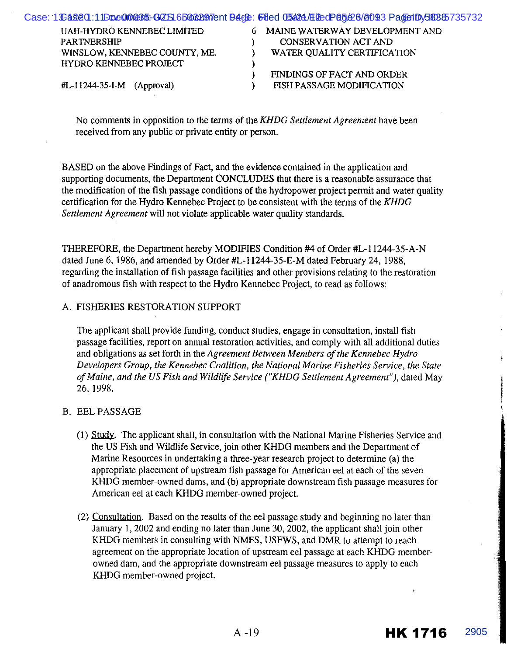| Case: 1S2820:11Boc000885-GZS16B662077ent9468: 6ded 05624/E2edP85626/8093 PadetDy58885735732 |                                  |
|---------------------------------------------------------------------------------------------|----------------------------------|
| <b>UAH-HYDRO KENNEBEC LIMITED</b>                                                           | 6 MAINE WATERWAY DEVELOPMENT AND |
| <b>PARTNERSHIP</b>                                                                          | CONSERVATION ACT AND             |
| WINSLOW, KENNEBEC COUNTY, ME.                                                               | WATER QUALITY CERTIFICATION      |
| HYDRO KENNEBEC PROJECT                                                                      |                                  |
|                                                                                             | FINDINGS OF FACT AND ORDER       |
| $\#L-11244-35-I-M$ (Approval)                                                               | FISH PASSAGE MODIFICATION        |
|                                                                                             |                                  |

No comments in opposition to the terms of the *KHDG Settlement Agreement* have been received from any public or private entity or person.

BASED on the above Findings of Fact, and the evidence contained in the application and supporting documents, the Department CONCLUDES that there is a reasonable assurance that the modification of the fish passage conditions of the hydropower project pennit and water quality certification for the Hydro Kennebec Project to be consistent with the terms of the *KHDG Settlement Agreement* will not violate applicable water quality standards.

THEREFORE, the Department hereby MODIFIES Condition #4 of Order #L-11244-35-A-N dated June 6, 1986, and amended by Order #L-11244-35-E-M dated February 24, 1988, regarding the installation of fish passage facilities and other provisions relating to the restoration of anadromous fish with respect to the Hydro Kennebec Project, to read as follows:

#### A. FISHERIES RESTORATION SUPPORT

The applicant shall provide funding, conduct studies, engage in consultation, install fish passage facilities, report on annual restoration activities, and comply with all additional duties and obligations as set forth in the *Agreement Between Members of the Kennebec Hydro Developers Group, the Kennebec Coalition, the National Marine Fisheries Service, the State of Maine, and the US Fish and Wildlife Service ("KHDG Settlement Agreement"),* dated May 26, 1998.

#### B. EEL PASSAGE

- (1) Study. The applicant shall, in consultation with the National Marine Fisheries Service and the US Fish and Wildlife Service, join other KHDG members and the Department of Marine Resources in undertaking a three-year research project to determine (a) the appropriate placement of upstream fish passage for American eel at each of the seven KHDG member-owned dams, and (b) appropriate downstream fish passage measures for American eel at each KHDG member-owned project.
- (2) Consultation. Based on the results of the eel passage study and beginning no later than January 1, 2002 and ending no later than June 30, 2002, the applicant shall join other KHDG members in consulting with NMFS, USFWS, and DMR to attempt to reach agreement on the appropriate location of upstream eel passage at each KHDG memberowned dam, and the appropriate downstream eel passage measures to apply to each KHDG member-owned project.

HK 1716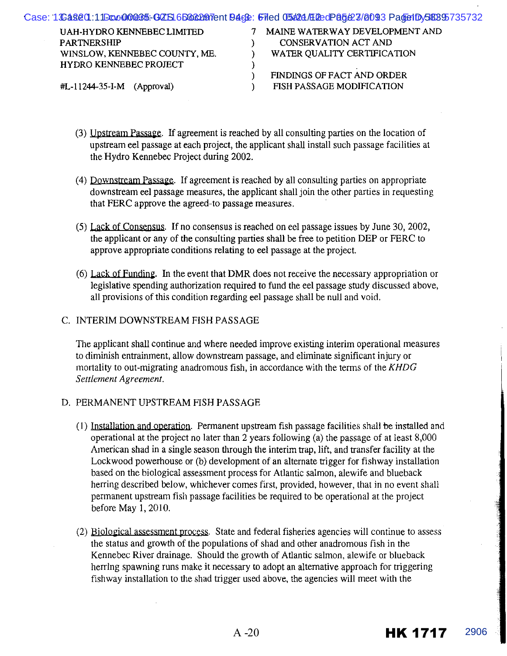|                               | Case: 1S2820:11Boc000885-GZS16B662077entB468: Filed 05624/E2edP85627/8093 PadetDy58895735732 |
|-------------------------------|----------------------------------------------------------------------------------------------|
| UAH-HYDRO KENNEBEC LIMITED    | MAINE WATERWAY DEVELOPMENT AND                                                               |
| <b>PARTNERSHIP</b>            | CONSERVATION ACT AND                                                                         |
| WINSLOW, KENNEBEC COUNTY, ME. | WATER QUALITY CERTIFICATION                                                                  |
| <b>HYDRO KENNEBEC PROJECT</b> |                                                                                              |
|                               | FINDINGS OF FACT AND ORDER                                                                   |
| $#L-11244-35-I-M$ (Approval)  | FISH PASSAGE MODIFICATION                                                                    |
|                               |                                                                                              |

- (3) Upstream Passage. If agreement is reached by all consulting parties on the location of upstream eel passage at each project, the applicant shall install such passage facilities at the Hydro Kennebec Project during 2002.
- (4) Downstream Passage. If agreement is reached by all consulting parties on appropriate downstream eel passage measures, the applicant shall join the other parties in requesting that PERC approve the agreed-to passage measures.
- (5) Lack of Consensus. If no consensus is reached on eel passage issues by June 30, 2002, the applicant or any of the consulting parties shall be free to petition PEP or PERC to approve appropriate conditions relating to eel passage at the project.
- (6) Lack of Funding. In the event that DMR does not receive the necessary appropriation or legislative spending authorization required to fund the eel passage study discussed above, all provisions of this condition regarding eel passage shall be null and void.

#### C. INTERIM DOWNSTREAM FISH PASSAGE

The applicant shall continue and where needed improve existing interim operational measures to diminish entrainment, allow downstream passage, and eliminate significant injury or mortality to out-migrating anadromous fish, in accordance with the terms of the KHDG *Settlement Agreement.* 

#### D. PERMANENT UPSTREAM FISH PASSAGE

- (I) Installation and operation. Permanent upstream fish passage facilities shall be installed and operational at the project no later than 2 years following (a) the passage of at least 8,000 American shad in a single season through the interim trap, lift, and transfer facility at the Lockwood powerhouse or (b) development of an alternate trigger for fishway installation based on the biological assessment process for Atlantic salmon, alewife and blueback herring described below, whichever comes first, provided, however, that in no event shall permanent upstream fish passage facilities be required to be operational at the project before May 1, 2010.
- (2) Biological assessment process. State and federal fisheries agencies will continue to assess the status and growth of the populations of shad and other anadromous fish in the Kennebec River drainage. Should the growth of Atlantic salmon, alewife or blueback herring spawning runs make it necessary to adopt an alternative approach for triggering fish way installation to the shad trigger used above, the agencies will meet with the

HK 1717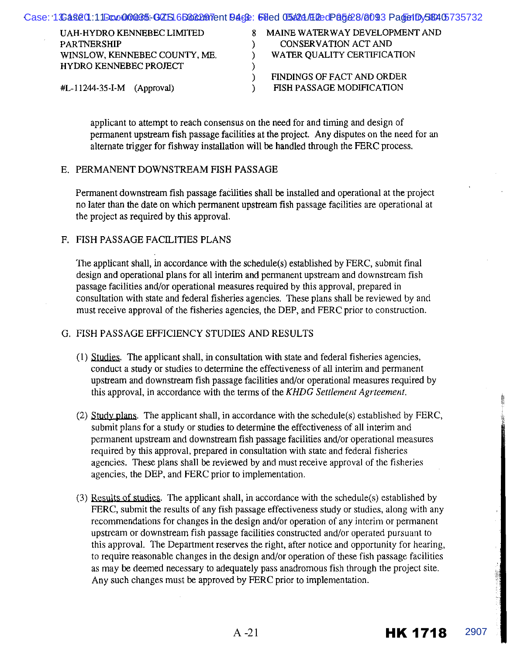|                            | Case: 1& <b>å§ê0.11Ecc000&amp;5.GZS16B6&amp;297</b> ent <b>94c&amp;: 68ed 05#24/E2edP85&amp;8/0093 Pa@e1Dy5&amp;40</b> 5735732 |
|----------------------------|--------------------------------------------------------------------------------------------------------------------------------|
| UAH-HYDRO KENNEBEC LIMITED | MAINE WATERWAY DEVELOPMENT AND                                                                                                 |

| UAH-HYDRO KENNEBEC LIMITED          | 8 MAINE WATERWAY DEVELOPMENT AND |
|-------------------------------------|----------------------------------|
| PARTNERSHIP                         | <b>CONSERVATION ACT AND</b>      |
| WINSLOW, KENNEBEC COUNTY, ME.       | WATER QUALITY CERTIFICATION      |
| <b>HYDRO KENNEBEC PROJECT</b>       |                                  |
|                                     | FINDINGS OF FACT AND ORDER       |
| $\text{HL}-11244-35-I-M$ (Approval) | FISH PASSAGE MODIFICATION        |
|                                     |                                  |

applicant to attempt to reach consensus on the need for and timing and design of permanent upstream fish passage facilities at the project. Any disputes on the need for an alternate trigger for fishway installation will be handled through the FERC process.

#### E. PERMANENT DOWNSTREAM FISH PASSAGE

Permanent downstream fish passage facilities shall be installed and operational at the project no later than the date on which permanent upstream fish passage facilities are operational at the project as required by this approval.

#### F. FISH PASSAGE FACILITIES PLANS

The applicant shall, in accordance with the schedule(s) established by FERC, submit final design and operational plans for all interim and permanent upstream and downstream fish passage facilities and/or operational measures required by this approval, prepared in consultation with state and federal fisheries agencies. These plans shall be reviewed by and must receive approval of the fisheries agencies, the DEP, and FERC prior to construction.

#### G. FISH PASSAGE EFFICIENCY STUDIES AND RESULTS

- (1) Studies. The applicant shall, in consultation with state and federal fisheries agencies, conduct a study or studies to determine the effectiveness of all interim and permanent upstream and downstream fish passage facilities and/or operational measures required by this approval, in accordance with the terms of the *KHDG Settlement Agrteement.*
- (2) *Study* plans. The applicant shall, in accordance with the schedule(s) established by FERC, submit plans for a study or studies to determine the effectiveness of all interim and permanent upstream and downstream fish passage facilities and/or operational measures required by this approval, prepared in consultation with state and federal fisheries agencies. These plans shall be reviewed by and must receive approval of the fisheries agencies, the DEP, and FERC prior to implementation.
- (3) Results of studies. The applicant shall, in accordance with the schedule(s) established by FERC, submit the results of any fish passage effectiveness study or studies, along with any recommendations for changes in the design and/or operation of any interim or permanent upstream or downstream fish passage facilities constructed and/or operated pursuant to this approval. The Department reserves the right, after notice and opportunity for hearing, to require reasonable changes in the design and/or operation of these fish passage facilities as may be deemed necessary to adequately pass anadromous fish through the project site. Any such changes must be approved by FERC prior to implementation.